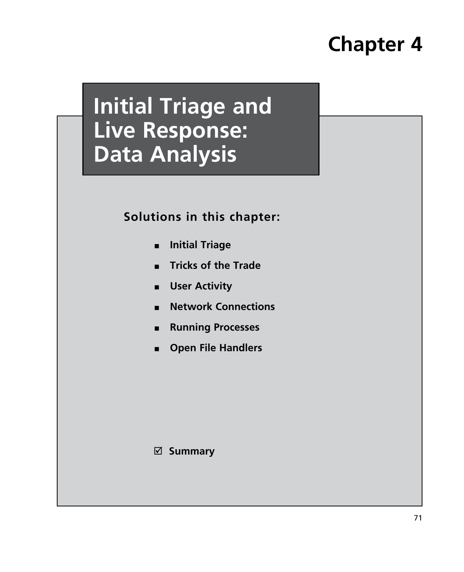# **Chapter 4**

# **Initial Triage and Live Response: Data Analysis**

## **Solutions in this chapter:**

- **Initial Triage** ■
- **Tricks of the Trade** ■
- **User Activity** ■
- **Network Connections** ■
- **Running Processes** ■
- **Open File Handlers** ■

### ˛ **Summary**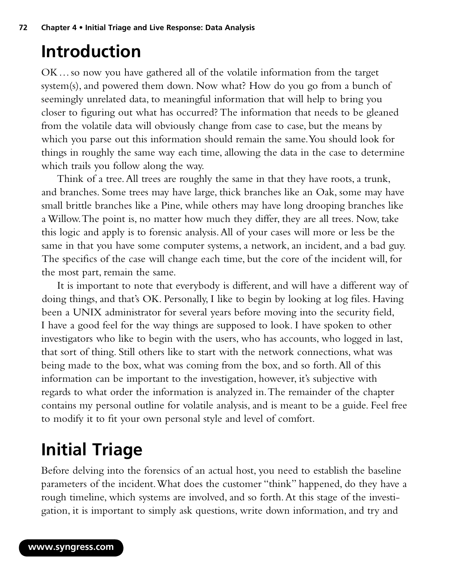## **Introduction**

OK … so now you have gathered all of the volatile information from the target system(s), and powered them down. Now what? How do you go from a bunch of seemingly unrelated data, to meaningful information that will help to bring you closer to figuring out what has occurred? The information that needs to be gleaned from the volatile data will obviously change from case to case, but the means by which you parse out this information should remain the same.You should look for things in roughly the same way each time, allowing the data in the case to determine which trails you follow along the way.

Think of a tree.All trees are roughly the same in that they have roots, a trunk, and branches. Some trees may have large, thick branches like an Oak, some may have small brittle branches like a Pine, while others may have long drooping branches like a Willow.The point is, no matter how much they differ, they are all trees. Now, take this logic and apply is to forensic analysis.All of your cases will more or less be the same in that you have some computer systems, a network, an incident, and a bad guy. The specifics of the case will change each time, but the core of the incident will, for the most part, remain the same.

It is important to note that everybody is different, and will have a different way of doing things, and that's OK. Personally, I like to begin by looking at log files. Having been a UNIX administrator for several years before moving into the security field, I have a good feel for the way things are supposed to look. I have spoken to other investigators who like to begin with the users, who has accounts, who logged in last, that sort of thing. Still others like to start with the network connections, what was being made to the box, what was coming from the box, and so forth.All of this information can be important to the investigation, however, it's subjective with regards to what order the information is analyzed in.The remainder of the chapter contains my personal outline for volatile analysis, and is meant to be a guide. Feel free to modify it to fit your own personal style and level of comfort.

## **Initial Triage**

Before delving into the forensics of an actual host, you need to establish the baseline parameters of the incident.What does the customer "think" happened, do they have a rough timeline, which systems are involved, and so forth.At this stage of the investigation, it is important to simply ask questions, write down information, and try and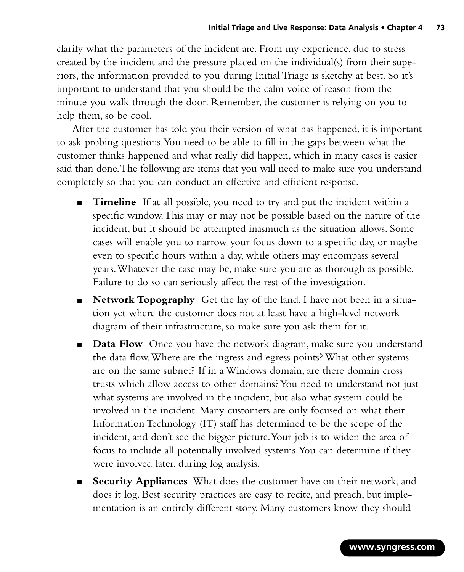clarify what the parameters of the incident are. From my experience, due to stress created by the incident and the pressure placed on the individual(s) from their superiors, the information provided to you during Initial Triage is sketchy at best. So it's important to understand that you should be the calm voice of reason from the minute you walk through the door. Remember, the customer is relying on you to help them, so be cool.

After the customer has told you their version of what has happened, it is important to ask probing questions.You need to be able to fill in the gaps between what the customer thinks happened and what really did happen, which in many cases is easier said than done.The following are items that you will need to make sure you understand completely so that you can conduct an effective and efficient response.

- Timeline If at all possible, you need to try and put the incident within a specific window.This may or may not be possible based on the nature of the incident, but it should be attempted inasmuch as the situation allows. Some cases will enable you to narrow your focus down to a specific day, or maybe even to specific hours within a day, while others may encompass several years.Whatever the case may be, make sure you are as thorough as possible. Failure to do so can seriously affect the rest of the investigation.
- **Network Topography** Get the lay of the land. I have not been in a situation yet where the customer does not at least have a high-level network diagram of their infrastructure, so make sure you ask them for it.
- **Data Flow** Once you have the network diagram, make sure you understand the data flow.Where are the ingress and egress points? What other systems are on the same subnet? If in a Windows domain, are there domain cross trusts which allow access to other domains?You need to understand not just what systems are involved in the incident, but also what system could be involved in the incident. Many customers are only focused on what their Information Technology (IT) staff has determined to be the scope of the incident, and don't see the bigger picture.Your job is to widen the area of focus to include all potentially involved systems.You can determine if they were involved later, during log analysis. ■
- **Security Appliances** What does the customer have on their network, and does it log. Best security practices are easy to recite, and preach, but implementation is an entirely different story. Many customers know they should ■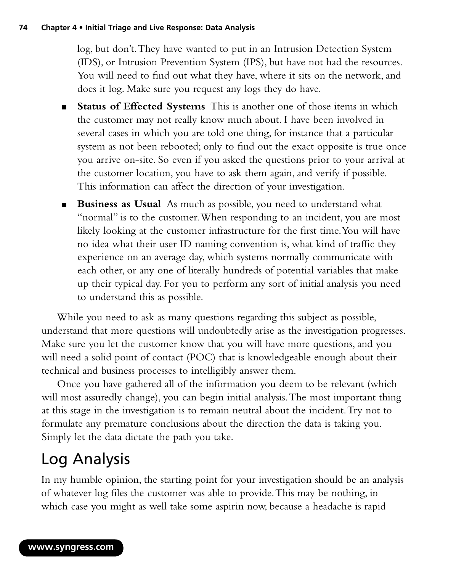log, but don't.They have wanted to put in an Intrusion Detection System (IDS), or Intrusion Prevention System (IPS), but have not had the resources. You will need to find out what they have, where it sits on the network, and does it log. Make sure you request any logs they do have.

- **Status of Effected Systems** This is another one of those items in which the customer may not really know much about. I have been involved in several cases in which you are told one thing, for instance that a particular system as not been rebooted; only to find out the exact opposite is true once you arrive on-site. So even if you asked the questions prior to your arrival at the customer location, you have to ask them again, and verify if possible. This information can affect the direction of your investigation. ■
- Business as Usual As much as possible, you need to understand what "normal" is to the customer.When responding to an incident, you are most likely looking at the customer infrastructure for the first time.You will have no idea what their user ID naming convention is, what kind of traffic they experience on an average day, which systems normally communicate with each other, or any one of literally hundreds of potential variables that make up their typical day. For you to perform any sort of initial analysis you need to understand this as possible.

While you need to ask as many questions regarding this subject as possible, understand that more questions will undoubtedly arise as the investigation progresses. Make sure you let the customer know that you will have more questions, and you will need a solid point of contact (POC) that is knowledgeable enough about their technical and business processes to intelligibly answer them.

Once you have gathered all of the information you deem to be relevant (which will most assuredly change), you can begin initial analysis.The most important thing at this stage in the investigation is to remain neutral about the incident.Try not to formulate any premature conclusions about the direction the data is taking you. Simply let the data dictate the path you take.

## Log Analysis

In my humble opinion, the starting point for your investigation should be an analysis of whatever log files the customer was able to provide.This may be nothing, in which case you might as well take some aspirin now, because a headache is rapid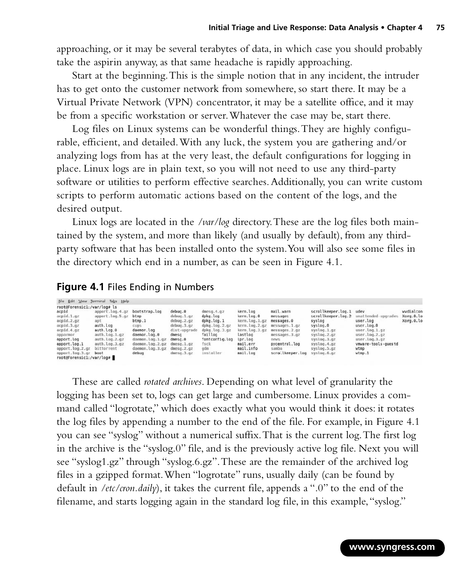approaching, or it may be several terabytes of data, in which case you should probably take the aspirin anyway, as that same headache is rapidly approaching.

Start at the beginning.This is the simple notion that in any incident, the intruder has to get onto the customer network from somewhere, so start there. It may be a Virtual Private Network (VPN) concentrator, it may be a satellite office, and it may be from a specific workstation or server.Whatever the case may be, start there.

Log files on Linux systems can be wonderful things.They are highly configurable, efficient, and detailed.With any luck, the system you are gathering and/or analyzing logs from has at the very least, the default configurations for logging in place. Linux logs are in plain text, so you will not need to use any third-party software or utilities to perform effective searches.Additionally, you can write custom scripts to perform automatic actions based on the content of the logs, and the desired output.

Linux logs are located in the */var/log* directory.These are the log files both maintained by the system, and more than likely (and usually by default), from any thirdparty software that has been installed onto the system.You will also see some files in the directory which end in a number, as can be seen in Figure 4.1.

#### **Figure 4.1** Files Ending in Numbers

|                                                                                                                                                    | File Edit View Terminal Tabs Help                                                                                                               |                                                                                                                                                                                  |                                                                                                         |                                                                                                                                                |                                                                                                                                                 |                                                                                                                                              |                                                                                                                                                    |                                                                                                                                                                        |                                     |
|----------------------------------------------------------------------------------------------------------------------------------------------------|-------------------------------------------------------------------------------------------------------------------------------------------------|----------------------------------------------------------------------------------------------------------------------------------------------------------------------------------|---------------------------------------------------------------------------------------------------------|------------------------------------------------------------------------------------------------------------------------------------------------|-------------------------------------------------------------------------------------------------------------------------------------------------|----------------------------------------------------------------------------------------------------------------------------------------------|----------------------------------------------------------------------------------------------------------------------------------------------------|------------------------------------------------------------------------------------------------------------------------------------------------------------------------|-------------------------------------|
| root@Forensicl:/var/log#ls                                                                                                                         |                                                                                                                                                 |                                                                                                                                                                                  |                                                                                                         |                                                                                                                                                |                                                                                                                                                 |                                                                                                                                              |                                                                                                                                                    |                                                                                                                                                                        |                                     |
| acpid<br>acpid.1.gz<br>acpid.2.gz<br>acpid.3.gz<br>acpid.4.gz<br>apparmor<br>apport.log<br>apport.log.1<br>apport.log.2.gz<br>apport.log.3.gr boot | apport.log.4.gz<br>apport.log.5.gz<br>apt<br>auth. Lcg<br>auth.lcg.0<br>$auth.l.$ $oq.l.$ $qz$<br>auth.Loq.Z.qz<br>auth.l.oq.3.qz<br>bittorrent | bootstrap.log<br>btmp<br>$b$ tnp.1<br><b>CUDS</b><br>daemon.log<br>daemon.log.0<br>$d$ aemon, $log.1,$ $qz$<br>daemon.log.2.gz dmesg.1.gz<br>daemon.log.3.gz dmeso.2.gz<br>debug | debug.0<br>debug.1.gz<br>debuq.2.qz<br>debug.3.gz<br>dist-upgrade<br>dneso<br>dness0.0<br>$d$ nesq.3.qz | $d$ mesq.4.q2<br>dpkg.lcg<br>dpkg.lcg.1<br>$dpkg$ . $log.2.02$<br>$d$ pkg. $log.3.qz$<br>faillog<br>fontconfig.log<br>fsck<br>qdm<br>installer | kern.log<br>kern.log.0<br>kern.log.1.gz<br>$kcm,$ $log, 2, qz$<br>$kern,$ $log.3.92$<br>lastlog<br>lpr.log<br>mail.err<br>mail.info<br>mail.log | mail.warn<br>messages<br>messages.0<br>messages.1.97<br>messages.2.gz<br>messaaes.3.02<br>news<br>pycentral.log<br>samba<br>scrollkeeper.log | scrollkeeper.log.1 udev<br>syslog<br>$s$ vsloo. $\theta$<br>syslog.1.gz<br>sysloq.2.qz<br>SVSL00.3.0Z<br>syslog.4.gz<br>svsloq.S.qz<br>syslog.6.gz | scrollkeeper.log.2 unattended-upgrades<br>user.log<br>$user.log.\theta$<br>user.log.1.gz<br>user.log.2.qz<br>user.log.3.gz<br>ymware-tools-questd<br>wtmp<br>$w$ tmp.1 | wydialcom<br>Xorg.0.lo<br>Xorg.0.lo |
| root@Forensicl:/var/log#                                                                                                                           |                                                                                                                                                 |                                                                                                                                                                                  |                                                                                                         |                                                                                                                                                |                                                                                                                                                 |                                                                                                                                              |                                                                                                                                                    |                                                                                                                                                                        |                                     |

These are called *rotated archives*. Depending on what level of granularity the logging has been set to, logs can get large and cumbersome. Linux provides a command called "logrotate," which does exactly what you would think it does: it rotates the log files by appending a number to the end of the file. For example, in Figure 4.1 you can see "syslog" without a numerical suffix.That is the current log.The first log in the archive is the "syslog.0" file, and is the previously active log file. Next you will see "syslog1.gz" through "syslog.6.gz".These are the remainder of the archived log files in a gzipped format.When "logrotate" runs, usually daily (can be found by default in */etc/cron.daily*), it takes the current file, appends a ".0" to the end of the filename, and starts logging again in the standard log file, in this example,"syslog."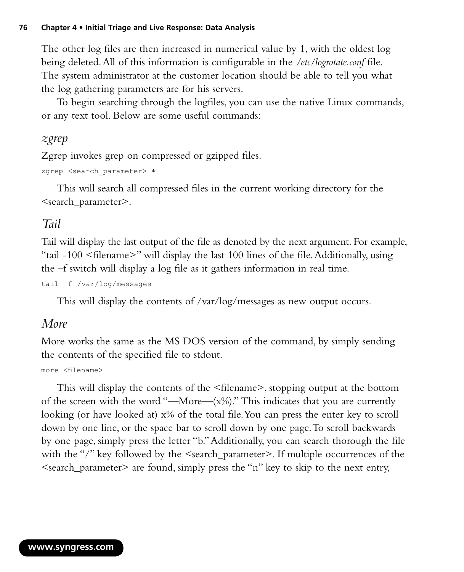The other log files are then increased in numerical value by 1, with the oldest log being deleted.All of this information is configurable in the */etc/logrotate.conf* file. The system administrator at the customer location should be able to tell you what the log gathering parameters are for his servers.

To begin searching through the logfiles, you can use the native Linux commands, or any text tool. Below are some useful commands:

### *zgrep*

Zgrep invokes grep on compressed or gzipped files.

```
zgrep <search parameter> *
```
This will search all compressed files in the current working directory for the <search\_parameter>.

## *Tail*

Tail will display the last output of the file as denoted by the next argument. For example, "tail  $-100$  <filename>" will display the last 100 lines of the file. Additionally, using the –f switch will display a log file as it gathers information in real time.

tail –f /var/log/messages

This will display the contents of /var/log/messages as new output occurs.

### *More*

More works the same as the MS DOS version of the command, by simply sending the contents of the specified file to stdout.

more <filename>

This will display the contents of the <filename>, stopping output at the bottom of the screen with the word "—More— $(x\%)$ ." This indicates that you are currently looking (or have looked at) x% of the total file.You can press the enter key to scroll down by one line, or the space bar to scroll down by one page.To scroll backwards by one page, simply press the letter "b."Additionally, you can search thorough the file with the "/" key followed by the  $\leq$  search parameter $\geq$ . If multiple occurrences of the  $\leq$ search\_parameter> are found, simply press the "n" key to skip to the next entry,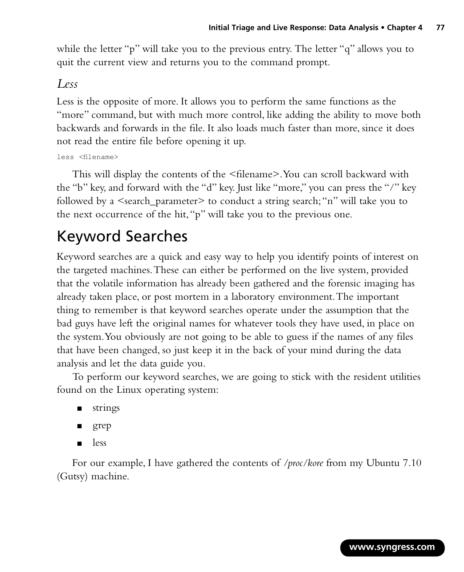while the letter "p" will take you to the previous entry. The letter "q" allows you to quit the current view and returns you to the command prompt.

### *Less*

Less is the opposite of more. It allows you to perform the same functions as the "more" command, but with much more control, like adding the ability to move both backwards and forwards in the file. It also loads much faster than more, since it does not read the entire file before opening it up.

less <filename>

This will display the contents of the <filename>.You can scroll backward with the "b" key, and forward with the "d" key. Just like "more," you can press the "/" key followed by a <search\_parameter> to conduct a string search; "n" will take you to the next occurrence of the hit,"p" will take you to the previous one.

## Keyword Searches

Keyword searches are a quick and easy way to help you identify points of interest on the targeted machines.These can either be performed on the live system, provided that the volatile information has already been gathered and the forensic imaging has already taken place, or post mortem in a laboratory environment.The important thing to remember is that keyword searches operate under the assumption that the bad guys have left the original names for whatever tools they have used, in place on the system.You obviously are not going to be able to guess if the names of any files that have been changed, so just keep it in the back of your mind during the data analysis and let the data guide you.

To perform our keyword searches, we are going to stick with the resident utilities found on the Linux operating system:

- strings ■
- grep ■
- less ■

For our example, I have gathered the contents of */proc/kore* from my Ubuntu 7.10 (Gutsy) machine.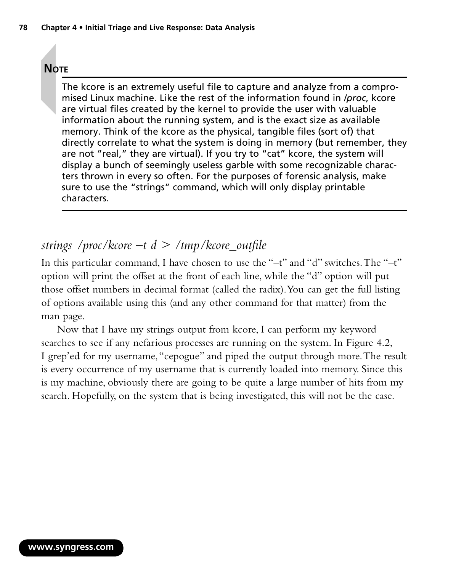### **Note**

The kcore is an extremely useful file to capture and analyze from a compromised Linux machine. Like the rest of the information found in */proc*, kcore are virtual files created by the kernel to provide the user with valuable information about the running system, and is the exact size as available memory. Think of the kcore as the physical, tangible files (sort of) that directly correlate to what the system is doing in memory (but remember, they are not "real," they are virtual). If you try to "cat" kcore, the system will display a bunch of seemingly useless garble with some recognizable characters thrown in every so often. For the purposes of forensic analysis, make sure to use the "strings" command, which will only display printable characters.

## *strings /proc/kcore –t d > /tmp/kcore\_outfile*

In this particular command, I have chosen to use the "–t" and "d" switches.The "–t" option will print the offset at the front of each line, while the "d" option will put those offset numbers in decimal format (called the radix).You can get the full listing of options available using this (and any other command for that matter) from the man page.

Now that I have my strings output from kcore, I can perform my keyword searches to see if any nefarious processes are running on the system. In Figure 4.2, I grep'ed for my username,"cepogue" and piped the output through more.The result is every occurrence of my username that is currently loaded into memory. Since this is my machine, obviously there are going to be quite a large number of hits from my search. Hopefully, on the system that is being investigated, this will not be the case.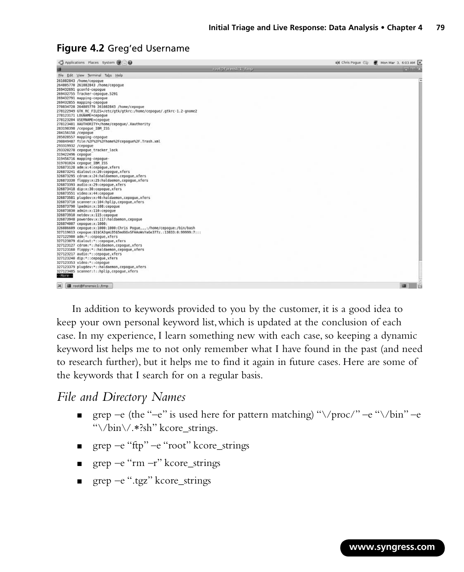### **Figure 4.2** Greg'ed Username

| Applications Places System @ Q                                             | He Chris Pogue Cip ■ Mon Mar 3, 6:03 AM |
|----------------------------------------------------------------------------|-----------------------------------------|
| root@Forensie1: Amp                                                        | <b>CONGINAT</b>                         |
| File Edit View Terminal Tabs Help                                          |                                         |
| 261082843 /home/cepogue                                                    |                                         |
| 264805770 261082843 /home/cepoque                                          |                                         |
| 269432691 gconfd-cepogue                                                   |                                         |
| 269432755 Tracker-cepoque.5291                                             |                                         |
| 269432791 mapping-cepoque                                                  |                                         |
| 269432855 mapping-cepoque                                                  |                                         |
| 270834728 264805770 261082843 /home/cepoque                                |                                         |
| 278122949 GTK RC FILES=/etc/gtk/gtkrc:/home/cepogue/.gtkrc-1.2-gnome2      |                                         |
| 278123171 LOGNAME=cepoque                                                  |                                         |
| 278123204 USERNAME=cepoque                                                 |                                         |
| 278123481 XAUTHORITY=/home/cepoque/.Xauthority                             |                                         |
| 283198398 /cepogue IBM ISS                                                 |                                         |
| 284156158 /cepoque                                                         |                                         |
| 285028557 mapping-cepogue                                                  |                                         |
| 290849487 file:%2F%2F%2Fhome%2Fcepoque%2F.Trash.xml                        |                                         |
| 293319932 /cepogue                                                         |                                         |
| 293320278 cepoque tracker lock                                             |                                         |
| 319422496 cepoque                                                          |                                         |
| 319456716 mapping-cepogue-                                                 |                                         |
| 319701024 cepoque IBM ISS                                                  |                                         |
| 326873128 adm:x:4:cepogue,xfers                                            |                                         |
| 326873241 dialout:x:20:cepogue,xfers                                       |                                         |
| 326873295 cdrom:x:24:haldaemon,cepoque,xfers                               |                                         |
| 326873330 floppy:x:25:haldaemon,cepogue,xfers                              |                                         |
| 326873393 audio:x:29:cepoque,xfers                                         |                                         |
| 326873418 dip:x:30:cepogue, xfers                                          |                                         |
| 326873551 video:x:44:cepoque                                               |                                         |
| 326873581 plugdev:x:46:haldaemon.cepogue.xfers                             |                                         |
| 326873710 scanner:x:104:hplip,cepoque,xfers                                |                                         |
| 326873790 lpadmin:x:108:cepoque                                            |                                         |
| 326873830 admin:x:110:cepoque                                              |                                         |
| 326873910 netdev:x:115:cepoque                                             |                                         |
| 326873948 powerdev:x:117:haldaemon.cepoque                                 |                                         |
| 326874007 cepoque:x:1000:                                                  |                                         |
| 326886609 cepoque:x:1000:1000:Chris Pogue,,,:/home/cepogue:/bin/bash       |                                         |
| 327119613 cepoque:\$1\$CA2qmLD5\$5mdGGvSFAAoWsYaGe377z.:13833:0:99999:7::: |                                         |
| 327122980 adm:"::cepogue,xfers                                             |                                         |
| 327123079 dialout:*::cepoque,xfers                                         |                                         |
| 327123127 cdrom:*::haldaemon.cepoque.xfers                                 |                                         |
| 327123160 floppy: *:: haldaemon, cepoque, xfers                            |                                         |
| 327123217 audio:"::cepoque,xfers                                           |                                         |
| 327123240 dip:*::cepoque,xfers                                             |                                         |
| 327123353 video:*:: cepoque                                                |                                         |
| 327123379 plugdev:"::haldaemon, cepoque, xfers                             |                                         |
| 327123485 scanner: !:: hplip, cepogue, xfers                               |                                         |
| $-.$ More $-.$                                                             |                                         |
|                                                                            |                                         |
|                                                                            |                                         |
| зq<br>root@Forensic1: /tmp                                                 | <b>ES</b>                               |

In addition to keywords provided to you by the customer, it is a good idea to keep your own personal keyword list,which is updated at the conclusion of each case. In my experience, I learn something new with each case, so keeping a dynamic keyword list helps me to not only remember what I have found in the past (and need to research further), but it helps me to find it again in future cases. Here are some of the keywords that I search for on a regular basis.

## *File and Directory Names*

- grep –e (the "–e" is used here for pattern matching) " $\sqrt{proc''}$  –e " $\sqrt{bin''}$  –e "\/bin\/.\*?sh" kcore\_strings. ■
- grep –e "ftp" –e "root" kcore\_strings
- grep –e "rm –r" kcore\_strings
- grep –e ".tgz" kcore\_strings ■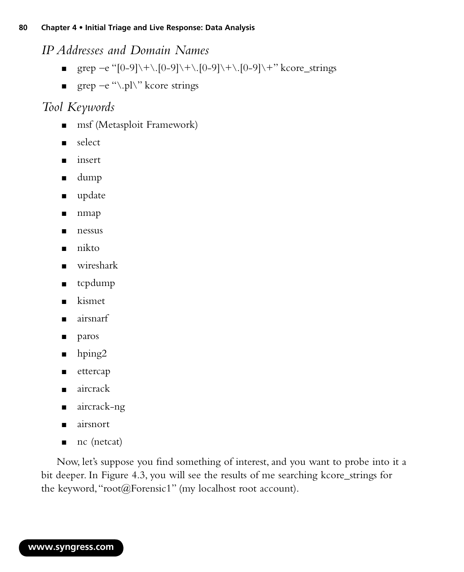## *IP Addresses and Domain Names*

- grep –e " $[0-9] \$  + \ldots [0-9] \ + \ldots [0-9] \ + \ldots [0-9] \ + " kcore\_strings ■
- grep –e " $\n\cdot$ pl $\vee$ " kcore strings ■

## *Tool Keywords*

- msf (Metasploit Framework) ■
- select ■
- insert ■
- dump ■
- update ■
- nmap ■
- nessus ■
- nikto ■
- wireshark ■
- tcpdump ■
- kismet ■
- airsnarf ■
- paros ■
- hping2 ■
- ettercap ■
- aircrack ■
- aircrack-ng ■
- airsnort ■
- nc (netcat) ■

Now, let's suppose you find something of interest, and you want to probe into it a bit deeper. In Figure 4.3, you will see the results of me searching kcore\_strings for the keyword,"root@Forensic1" (my localhost root account).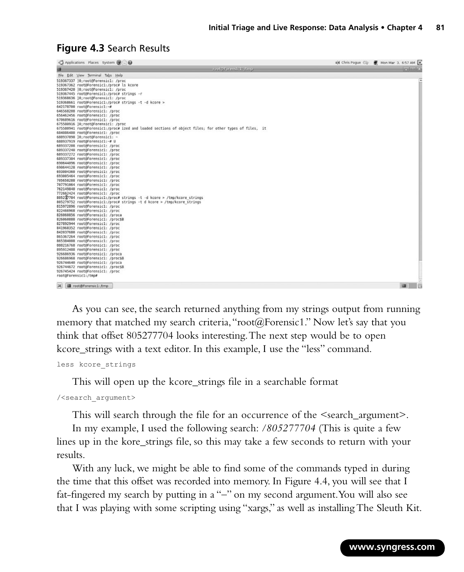### **Figure 4.3** Search Results

| Applications Places System @ Q                                                                         | old Chris Pogue Cip ■ Mon Mar 3, 6:57 AM |
|--------------------------------------------------------------------------------------------------------|------------------------------------------|
| 薩<br>root@Forensiels /tmp                                                                              | $  -   0   23$                           |
| File Edit View Terminal Tabs Help                                                                      |                                          |
| 519367337 ]@;root@Forensic1: /proc                                                                     |                                          |
| 519367362 root@Forensicl:/proc# ls kcore                                                               |                                          |
| 519367420 ]0; root@Forensic1: /proc                                                                    |                                          |
| 519367445 root@Forensicl:/proc# strings -r                                                             |                                          |
| 519368636   0; root@Forensicl: /proc                                                                   |                                          |
| 519368661 root@Forensicl:/proc# strings -t -d kcore >                                                  |                                          |
| 642178700 root@Forensicl:~#                                                                            |                                          |
| 646568208 root@Forensicl: /proc                                                                        |                                          |
| 656462456 root@Forensicl: /proc                                                                        |                                          |
| 670689616 root@Forensicl: /proc                                                                        |                                          |
| 675580916 ]0; root@Forensicl: /proc                                                                    |                                          |
| 675580941 root@Forensic1:/proc# ized and loaded sections of object files; for other types of files, it |                                          |
| 684086480 root@Forensicl: /proc                                                                        |                                          |
|                                                                                                        |                                          |
| 688937919 root@Forensicl:-# U                                                                          |                                          |
| 689337208 root@Forensicl: /proc                                                                        |                                          |
| 689337240 root@Forensicl: /proc                                                                        |                                          |
| 689337272 root@Forensicl: /proc                                                                        |                                          |
| 689337304 root@Forensicl: /proc                                                                        |                                          |
| 690644096 root@Forensicl: /proc                                                                        |                                          |
| 690644128 root@Forensicl: /proc                                                                        |                                          |
| 693004360 root@Forensic1: /proc<br>693005464 root@Forensicl: /proc                                     |                                          |
| 705658288 root@Forensicl: /proc                                                                        |                                          |
| 707791064 root@Forensicl: /proc                                                                        |                                          |
| 762149840 root@Forensicl: /proc                                                                        |                                          |
| 772662424 root@Forensicl: /proc                                                                        |                                          |
| 805217704 root@Forensicl:/proc# strings -t -d kcore > /tmp/kcore strings                               |                                          |
| 805279752 root@Forensicl:/proc# strings -t d kcore > /tmp/kcore strings                                |                                          |
| 815972896 root@Forensicl: /proc                                                                        |                                          |
| 822466968 root@Forensic1: /proc                                                                        |                                          |
| 826060856 root@Forensicl: /proca                                                                       |                                          |
| 826060888 root@Forensicl: /proc\$B                                                                     |                                          |
| 827892944 root@Forensicl: /proc                                                                        |                                          |
| 841968352 root@Forensicl: /proc                                                                        |                                          |
| 842037680 root@Forensicl: /proc                                                                        |                                          |
| 865367264 root@Forensicl: /proc                                                                        |                                          |
| 865384008 root@Forensicl: /proc                                                                        |                                          |
| 888216768 root@Forensicl: /proc                                                                        |                                          |
| 895912488 root@Forensicl: /proc                                                                        |                                          |
| 926686936 root@Forensicl: /proca                                                                       |                                          |
| 926686968 root@Forensicl: /proc\$B                                                                     |                                          |
| 926744640 root@Forensicl: /proca                                                                       |                                          |
| 926744672 root@Forensicl: /proc\$B                                                                     |                                          |
| 926745424 root@Forensic1: /proc                                                                        |                                          |
| root@Forensicl:/tmp#                                                                                   |                                          |
|                                                                                                        |                                          |
| $ \mathbb{H} $<br>root@Forensic1: /tmp                                                                 | 西<br>$\overline{a}$                      |

As you can see, the search returned anything from my strings output from running memory that matched my search criteria, "root $\omega$ Forensic1." Now let's say that you think that offset 805277704 looks interesting.The next step would be to open kcore\_strings with a text editor. In this example, I use the "less" command.

less kcore\_strings

This will open up the kcore\_strings file in a searchable format

/<search\_argument>

This will search through the file for an occurrence of the  $\leq$ search\_argument>.

In my example, I used the following search: */805277704* (This is quite a few lines up in the kore\_strings file, so this may take a few seconds to return with your results.

With any luck, we might be able to find some of the commands typed in during the time that this offset was recorded into memory. In Figure 4.4, you will see that I fat-fingered my search by putting in a "–" on my second argument.You will also see that I was playing with some scripting using "xargs," as well as installingThe Sleuth Kit.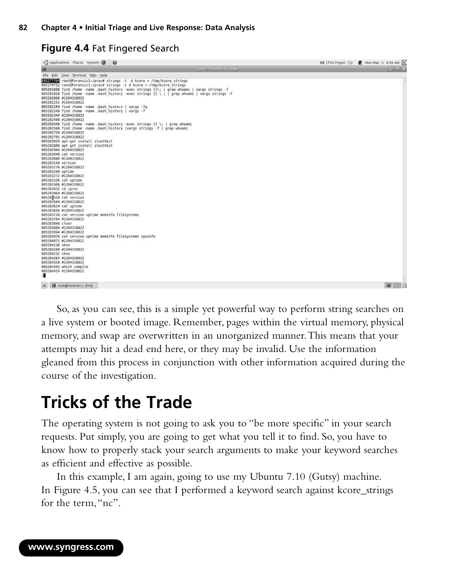### **Figure 4.4** Fat Fingered Search

```
Applications Places System @ Q
                                                                                                                                                                                                                                                                                            old Chris Pogue Clp ■ Mon Mar 3, 6:58 AM
 a
                                                                                                                                                                root@Forensit is Jimp
 File Edit View Terminal Tabs Help
 SOSTANDO root@Forensic1:/proc# strings -t -d kcore > /tmp/kcore strings
 202212021 rooteForensici:/proc# strings -t d kcore > /tmp/kcore_strings<br>805201800 find /home -name.lbash_history -exec strings -t d - prep whoami | xargs strings -f<br>805201800 find /home -name.bash_history -exec strings {}\
 805282088 #1204318822
 ouszozowo #izu+aioozz<br>805282152 #1204318822<br>805282184 find /home -name .bash_history | xargs -fg<br>805282248 find /home -name .bash_history | xargs -f
 003202344 #1204318822<br>805282444 #1204318822<br>805282444 #1204318822<br>805282440 find /home -name .bash_history -exec strings {} \; | grep whoami<br>805282506 find /home -name .bash_history |xargs strings -f | grep whoami
 885282728 #1284318822
 005262720 #1204318822<br>805282792 #1204318822<br>805282824 apt-get install sluethkit<br>805282888 apt-get install sleuthkit<br>805282984 #1204318822
 003262364 #1204316622<br>805283048 cat version<br>805283080 #1204318822
 805283144 version
005203144 VCF310H<br>805283176 #1204318822<br>805283272 #1204318822
885283336 cat uptime<br>885283356 #1204318822<br>885283432 cd /proc<br>805283464 #1204318822
005283464 #1204310822<br>005283560 #1204310822<br>005283560 #1204310822<br>005283656 #1204310822<br>005283656 #1204310822<br>005283720 cat version uptime meminfo filesystems<br>005283720 cat version uptime meminfo filesystems<br>005283720 falc
 805283848 clear<br>805283880 #1204318822
 805284072 #1204318822<br>805284136 shsn
 805284168 #1204318822
 805284232 chsn
 805284264 #1204318822
 005284328 #1204318822<br>005284392 which compile<br>05284424 #1204318822
 ÷
 \mathbb{R} \Box root@Forensic1: /tmp
```
So, as you can see, this is a simple yet powerful way to perform string searches on a live system or booted image. Remember, pages within the virtual memory, physical memory, and swap are overwritten in an unorganized manner.This means that your attempts may hit a dead end here, or they may be invalid. Use the information gleaned from this process in conjunction with other information acquired during the course of the investigation.

## **Tricks of the Trade**

The operating system is not going to ask you to "be more specific" in your search requests. Put simply, you are going to get what you tell it to find. So, you have to know how to properly stack your search arguments to make your keyword searches as efficient and effective as possible.

In this example, I am again, going to use my Ubuntu 7.10 (Gutsy) machine. In Figure 4.5, you can see that I performed a keyword search against kcore\_strings for the term,"nc".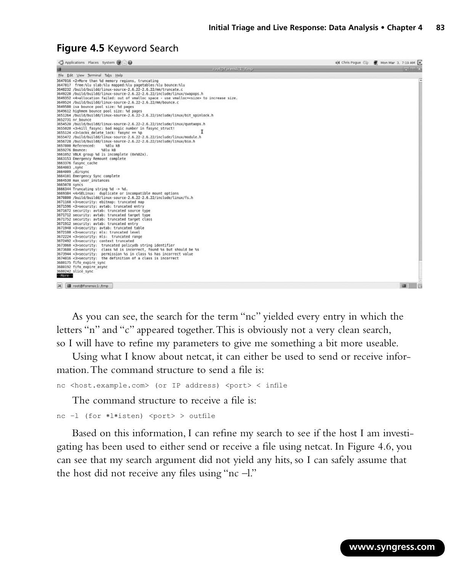#### **Figure 4.5** Keyword Search

| Applications Places System @ Q                                                                                        | aid Chris Poque Cip | Mon Mar 3, 7:19 AM |
|-----------------------------------------------------------------------------------------------------------------------|---------------------|--------------------|
| root@Forensiels /tmp/                                                                                                 |                     | <b>CONGRESS</b>    |
| File Edit View Terminal Tabs Help                                                                                     |                     |                    |
| 3647016 <2>More than %d memory regions, truncating                                                                    |                     |                    |
| 3647817 free:%lu slab:%lu mapped:%lu pagetables:%lu bounce:%lu                                                        |                     |                    |
| 3648232 /build/buildd/linux-source-2.6.22-2.6.22/mm/truncate.c                                                        |                     |                    |
| 3649228 /build/buildd/linux-source-2.6.22-2.6.22/include/linux/swapops.h                                              |                     |                    |
| 3649352 <4>allocation failed: out of vmalloc space - use vmalloc= <size> to increase size.</size>                     |                     |                    |
| 3649524 /build/buildd/linux-source-2.6.22-2.6.22/mm/bounce.c                                                          |                     |                    |
| 3649580 isa bounce pool size: %d pages                                                                                |                     |                    |
| 3649612 highmem bounce pool size: %d pages                                                                            |                     |                    |
| 3651264 /build/buildd/linux-source-2.6.22-2.6.22/include/linux/bit spinlock.h                                         |                     |                    |
| 3652731 nr bounce                                                                                                     |                     |                    |
| 3654520 /build/buildd/linux-source-2.6.22-2.6.22/include/linux/quotaops.h                                             |                     |                    |
| 3655020 <3>kill fasync: bad magic number in fasync struct!                                                            |                     |                    |
| 3655124 <3>locks delete lock: fasync == %p<br>3655472 /build/buildd/linux-source-2.6.22-2.6.22/include/linux/module.h |                     |                    |
| 3656728 /build/buildd/linux-source-2.6.22-2.6.22/include/linux/bio.h                                                  |                     |                    |
| 3657800 Referenced:<br>%8lu kB                                                                                        |                     |                    |
| 3659276 Bounce:<br>%Blu kB                                                                                            |                     |                    |
| 3661052 VBLK group %d is incomplete (0x%02x).                                                                         |                     |                    |
| 3663153 Emergency Remount complete                                                                                    |                     |                    |
| 3663376 fasync cache                                                                                                  |                     |                    |
| 3664003, sync                                                                                                         |                     |                    |
| 3664009 , dirsync                                                                                                     |                     |                    |
| 3664101 Emergency Sync complete                                                                                       |                     |                    |
| 3664530 max user instances                                                                                            |                     |                    |
| 3665078 syncs                                                                                                         |                     |                    |
| 3666344 Truncating string %d -> %d.                                                                                   |                     |                    |
| 3669384 <4>SELinux: duplicate or incompatible mount options                                                           |                     |                    |
| 3670800 /build/buildd/linux-source-2.6.22-2.6.22/include/linux/fs.h                                                   |                     |                    |
| 3671168 <3>security: ebitmap: truncated map<br>3671596 <3>security: avtab: truncated entry                            |                     |                    |
| 3671672 security: avtab: truncated source type                                                                        |                     |                    |
| 3671712 security: avtab: truncated target type                                                                        |                     |                    |
| 3671752 security: avtab: truncated target class                                                                       |                     |                    |
| 3671912 security: avtab: truncated entry                                                                              |                     |                    |
| 3671948 <3>security: avtab: truncated table                                                                           |                     |                    |
| 3672100 <3>security: mls: truncated level                                                                             |                     |                    |
| 3672224 <3>security: mls: truncated range                                                                             |                     |                    |
| 3672492 <3>security: context truncated                                                                                |                     |                    |
| 3673060 <3>security: truncated policydb string identifier                                                             |                     |                    |
| 3673680 <3>security: class %d is incorrect, found %s but should be %s                                                 |                     |                    |
| 3673944 <3>security: permission %s in class %s has incorrect value                                                    |                     |                    |
| 3674816 <3>security: the definition of a class is incorrect                                                           |                     |                    |
| 3680175 fifo expire sync                                                                                              |                     |                    |
| 3680192 fifo expire async                                                                                             |                     |                    |
| 3680242 slice sync<br>$-$ More $-$                                                                                    |                     |                    |
|                                                                                                                       |                     |                    |
| $ \mathbb{H} $<br>Toot@Forensic1: /tmp                                                                                |                     | ā<br>西             |
|                                                                                                                       |                     |                    |

As you can see, the search for the term "nc" yielded every entry in which the letters "n" and "c" appeared together.This is obviously not a very clean search, so I will have to refine my parameters to give me something a bit more useable.

Using what I know about netcat, it can either be used to send or receive information.The command structure to send a file is:

```
nc <host.example.com> (or IP address) <port> < infile
```
The command structure to receive a file is:

```
nc –l (for *l*isten) <port> > outfile
```
Based on this information, I can refine my search to see if the host I am investigating has been used to either send or receive a file using netcat. In Figure 4.6, you can see that my search argument did not yield any hits, so I can safely assume that the host did not receive any files using "nc –l."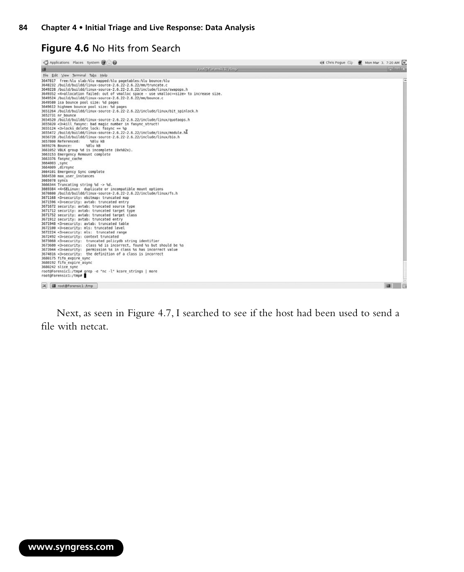### **Figure 4.6** No Hits from Search

| Applications Places System @ Applications                                                           | ed Chris Pogue Cip | Mon Mar 3, 7:20 AM               |
|-----------------------------------------------------------------------------------------------------|--------------------|----------------------------------|
| root@Forensiets Amp                                                                                 |                    | <b><i><u>CONGINATION</u></i></b> |
| File Edit View Terminal Tabs Help                                                                   |                    |                                  |
| 3647817 free:%lu slab:%lu mapped:%lu pagetables:%lu bounce:%lu                                      |                    | Œ,                               |
| 3648232 /build/buildd/linux-source-2.6.22-2.6.22/mm/truncate.c                                      |                    |                                  |
| 3649228 /build/buildd/linux-source-2.6.22-2.6.22/include/linux/swapops.h                            |                    |                                  |
| 3649352 <4>allocation failed: out of vmalloc space - use vmalloc= <size> to increase size.</size>   |                    |                                  |
| 3649524 /build/buildd/linux-source-2.6.22-2.6.22/mm/bounce.c                                        |                    |                                  |
| 3649580 isa bounce pool size: %d pages                                                              |                    |                                  |
| 3649612 highmem bounce pool size: %d pages                                                          |                    |                                  |
| 3651264 /build/buildd/linux-source-2.6.22-2.6.22/include/linux/bit spinlock.h                       |                    |                                  |
| 3652731 nr bounce                                                                                   |                    |                                  |
| 3654520 /build/buildd/linux-source-2.6.22-2.6.22/include/linux/quotaops.h                           |                    |                                  |
| 3655020 <3>kill fasync: bad magic number in fasync struct!                                          |                    |                                  |
| 3655124 <3>locks delete lock: fasync == %p                                                          |                    |                                  |
| 3655472 /build/buildd/linux-source-2.6.22-2.6.22/include/linux/module.ha                            |                    |                                  |
| 3656728 /build/buildd/linux-source-2.6.22-2.6.22/include/linux/bio.h                                |                    |                                  |
| 3657800 Referenced:<br>%8lu kB                                                                      |                    |                                  |
| %8lu kB<br>3659276 Bounce:                                                                          |                    |                                  |
| 3661052 VBLK group %d is incomplete (0x%02x).<br>3663153 Emergency Remount complete                 |                    |                                  |
| 3663376 fasync cache                                                                                |                    |                                  |
| 3664003, sync                                                                                       |                    |                                  |
| 3664009, dirsync                                                                                    |                    |                                  |
| 3664101 Emergency Sync complete                                                                     |                    |                                  |
| 3664530 max user instances                                                                          |                    |                                  |
| 3665078 syncs                                                                                       |                    |                                  |
| 3666344 Truncating string %d -> %d.                                                                 |                    |                                  |
| 3669384 <4>SELinux: duplicate or incompatible mount options                                         |                    |                                  |
| 3670800 /build/buildd/linux-source-2.6.22-2.6.22/include/linux/fs.h                                 |                    |                                  |
| 3671168 <3>security: ebitmap: truncated map                                                         |                    |                                  |
| 3671596 <3>security: avtab: truncated entry                                                         |                    |                                  |
| 3671672 security: avtab: truncated source type                                                      |                    |                                  |
| 3671712 security: avtab: truncated target type                                                      |                    |                                  |
| 3671752 security: avtab: truncated target class                                                     |                    |                                  |
| 3671912 security: avtab: truncated entry                                                            |                    |                                  |
| 3671948 <3>security: avtab: truncated table                                                         |                    |                                  |
| 3672100 <3>security: mls: truncated level                                                           |                    |                                  |
| 3672224 <3>security: mls: truncated range                                                           |                    |                                  |
| 3672492 <3>security: context truncated<br>3673060 <3>security: truncated policydb string identifier |                    |                                  |
| 3673680 <3>security: class %d is incorrect, found %s but should be %s                               |                    |                                  |
| 3673944 <3>security: permission %s in class %s has incorrect value                                  |                    |                                  |
| 3674816 <3>security: the definition of a class is incorrect                                         |                    |                                  |
| 3680175 fifo expire sync                                                                            |                    |                                  |
| 3680192 fifo expire async                                                                           |                    |                                  |
| 3680242 slice sync                                                                                  |                    |                                  |
| root@Forensicl:/tmp# grep -e "nc -l" kcore strings   more                                           |                    |                                  |
| root@Forensicl:/tmp#                                                                                |                    |                                  |
|                                                                                                     |                    |                                  |
| root@Forensic1: /tmp                                                                                |                    |                                  |
|                                                                                                     |                    |                                  |

Next, as seen in Figure 4.7, I searched to see if the host had been used to send a file with netcat.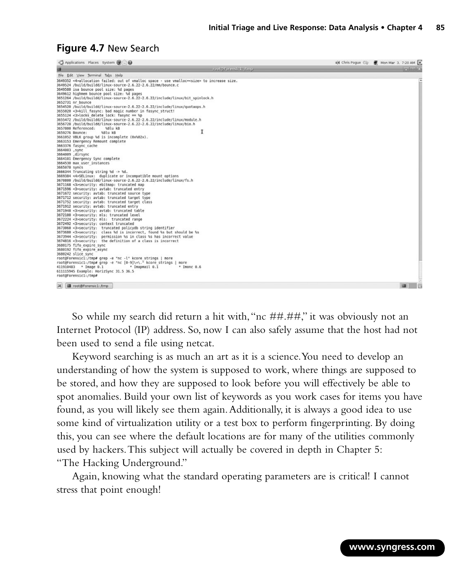### **Figure 4.7** New Search

| Applications Places System @ CO                                                                                                    |                      | 则 Chris Pogue Cip 景 Mon Mar 3, 7:20 AM |  |
|------------------------------------------------------------------------------------------------------------------------------------|----------------------|----------------------------------------|--|
| a                                                                                                                                  | root@Forensic1: /tmp | <b>CONGRESS</b>                        |  |
| File Edit View Terminal Tabs Help                                                                                                  |                      |                                        |  |
| 3649352 <4>allocation failed: out of vmalloc space - use vmalloc= <size> to increase size.</size>                                  |                      |                                        |  |
| 3649524 /build/buildd/linux-source-2.6.22-2.6.22/mm/bounce.c                                                                       |                      |                                        |  |
| 3649580 isa bounce pool size: %d pages                                                                                             |                      |                                        |  |
| 3649612 highmem bounce pool size: %d pages                                                                                         |                      |                                        |  |
| 3651264 /build/buildd/linux-source-2.6.22-2.6.22/include/linux/bit spinlock.h                                                      |                      |                                        |  |
| 3652731 nr bounce                                                                                                                  |                      |                                        |  |
| 3654520 /build/buildd/linux-source-2.6.22-2.6.22/include/linux/quotaops.h                                                          |                      |                                        |  |
| 3655020 <3>kill fasync: bad magic number in fasync struct!                                                                         |                      |                                        |  |
| 3655124 <3>locks delete lock: fasync == %p                                                                                         |                      |                                        |  |
| 3655472 /build/buildd/linux-source-2.6.22-2.6.22/include/linux/module.h                                                            |                      |                                        |  |
| 3656728 /build/buildd/linux-source-2.6.22-2.6.22/include/linux/bio.h                                                               |                      |                                        |  |
| 3657800 Referenced:<br>%8lu kB                                                                                                     |                      |                                        |  |
| 3659276 Bounce:<br>%Blu kB                                                                                                         | Ï                    |                                        |  |
| 3661052 VBLK group %d is incomplete (0x%02x).                                                                                      |                      |                                        |  |
| 3663153 Emergency Remount complete                                                                                                 |                      |                                        |  |
| 3663376 fasync cache                                                                                                               |                      |                                        |  |
| 3664003, sync                                                                                                                      |                      |                                        |  |
| 3664009 .dirsync<br>3664101 Emergency Sync complete                                                                                |                      |                                        |  |
| 3664530 max user instances                                                                                                         |                      |                                        |  |
| 3665078 syncs                                                                                                                      |                      |                                        |  |
| 3666344 Truncating string %d -> %d.                                                                                                |                      |                                        |  |
| 3669384 <4>SELinux: duplicate or incompatible mount options                                                                        |                      |                                        |  |
| 3670800 /build/buildd/linux-source-2.6.22-2.6.22/include/linux/fs.h                                                                |                      |                                        |  |
| 3671168 <3>security: ebitmap: truncated map                                                                                        |                      |                                        |  |
| 3671596 <3>security: avtab: truncated entry                                                                                        |                      |                                        |  |
| 3671672 security: avtab: truncated source type                                                                                     |                      |                                        |  |
| 3671712 security: avtab: truncated target type                                                                                     |                      |                                        |  |
| 3671752 security: avtab: truncated target class                                                                                    |                      |                                        |  |
| 3671912 security: avtab: truncated entry                                                                                           |                      |                                        |  |
| 3671948 <3>security: avtab: truncated table                                                                                        |                      |                                        |  |
| 3672100 <3>security: mls: truncated level                                                                                          |                      |                                        |  |
| 3672224 <3>security: mls: truncated range                                                                                          |                      |                                        |  |
| 3672492 <3>security: context truncated                                                                                             |                      |                                        |  |
| 3673060 <3>security: truncated policydb string identifier<br>3673680 <3>security: class %d is incorrect, found %s but should be %s |                      |                                        |  |
| 3673944 <3>security: permission %s in class %s has incorrect value                                                                 |                      |                                        |  |
| 3674816 <3>security: the definition of a class is incorrect                                                                        |                      |                                        |  |
| 3680175 fifo expire sync                                                                                                           |                      |                                        |  |
| 3680192 fifo expire async                                                                                                          |                      |                                        |  |
| 3680242 slice sync                                                                                                                 |                      |                                        |  |
| root@Forensicl:/tmp# grep -e "nc -l" kcore strings   more                                                                          |                      |                                        |  |
| root@Forensicl:/tmp# grep -e "nc [0-9]\+\." kcore strings   more                                                                   |                      |                                        |  |
| 411910483 * Image 0.1<br>* Imapmail 0.1<br>$•$ Imonc $0.6$                                                                         |                      |                                        |  |
| 611115945 Example: HorizSync 31.5 36.5                                                                                             |                      |                                        |  |
| root@Forensicl:/tmp#                                                                                                               |                      |                                        |  |
|                                                                                                                                    |                      |                                        |  |
| 国<br>Toot@Forensic1: /tmp                                                                                                          |                      | <b>ES</b>                              |  |

So while my search did return a hit with,"nc ##.##," it was obviously not an Internet Protocol (IP) address. So, now I can also safely assume that the host had not been used to send a file using netcat.

Keyword searching is as much an art as it is a science.You need to develop an understanding of how the system is supposed to work, where things are supposed to be stored, and how they are supposed to look before you will effectively be able to spot anomalies. Build your own list of keywords as you work cases for items you have found, as you will likely see them again.Additionally, it is always a good idea to use some kind of virtualization utility or a test box to perform fingerprinting. By doing this, you can see where the default locations are for many of the utilities commonly used by hackers.This subject will actually be covered in depth in Chapter 5: "The Hacking Underground."

Again, knowing what the standard operating parameters are is critical! I cannot stress that point enough!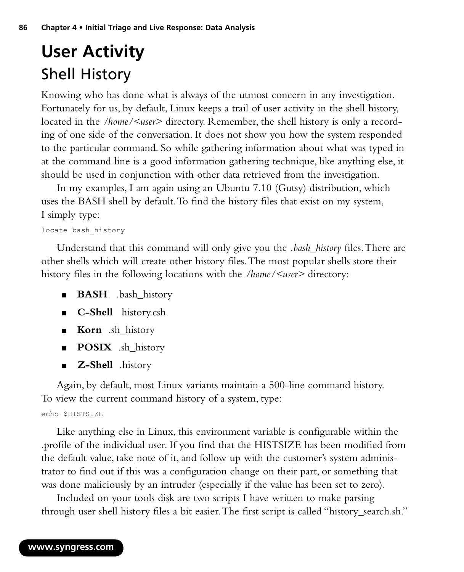## **User Activity** Shell History

Knowing who has done what is always of the utmost concern in any investigation. Fortunately for us, by default, Linux keeps a trail of user activity in the shell history, located in the */home/<user>* directory. Remember, the shell history is only a recording of one side of the conversation. It does not show you how the system responded to the particular command. So while gathering information about what was typed in at the command line is a good information gathering technique, like anything else, it should be used in conjunction with other data retrieved from the investigation.

In my examples, I am again using an Ubuntu 7.10 (Gutsy) distribution, which uses the BASH shell by default.To find the history files that exist on my system, I simply type:

locate bash\_history

Understand that this command will only give you the *.bash\_history* files.There are other shells which will create other history files.The most popular shells store their history files in the following locations with the */home/<user>* directory:

- **BASH**   .bash\_history ■
- **C-Shell** history.csh
- **Korn** .sh\_history
- **POSIX** .sh\_history ■
- **Z-Shell** .history ■

Again, by default, most Linux variants maintain a 500-line command history. To view the current command history of a system, type: echo \$HISTSIZE

Like anything else in Linux, this environment variable is configurable within the .profile of the individual user. If you find that the HISTSIZE has been modified from the default value, take note of it, and follow up with the customer's system administrator to find out if this was a configuration change on their part, or something that was done maliciously by an intruder (especially if the value has been set to zero).

Included on your tools disk are two scripts I have written to make parsing through user shell history files a bit easier.The first script is called "history\_search.sh."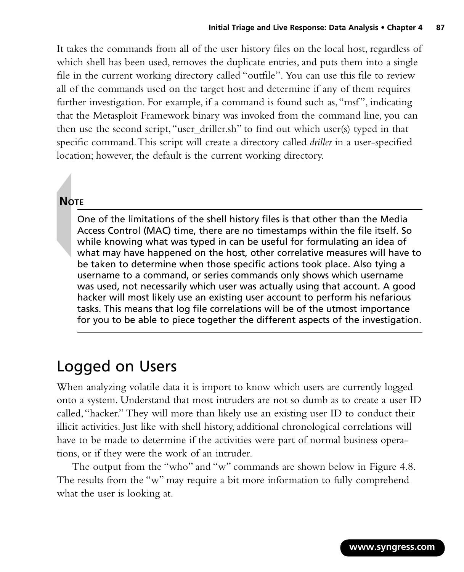It takes the commands from all of the user history files on the local host, regardless of which shell has been used, removes the duplicate entries, and puts them into a single file in the current working directory called "outfile". You can use this file to review all of the commands used on the target host and determine if any of them requires further investigation. For example, if a command is found such as,"msf", indicating that the Metasploit Framework binary was invoked from the command line, you can then use the second script,"user\_driller.sh" to find out which user(s) typed in that specific command.This script will create a directory called *driller* in a user-specified location; however, the default is the current working directory.

### **Note**

One of the limitations of the shell history files is that other than the Media Access Control (MAC) time, there are no timestamps within the file itself. So while knowing what was typed in can be useful for formulating an idea of what may have happened on the host, other correlative measures will have to be taken to determine when those specific actions took place. Also tying a username to a command, or series commands only shows which username was used, not necessarily which user was actually using that account. A good hacker will most likely use an existing user account to perform his nefarious tasks. This means that log file correlations will be of the utmost importance for you to be able to piece together the different aspects of the investigation.

## Logged on Users

When analyzing volatile data it is import to know which users are currently logged onto a system. Understand that most intruders are not so dumb as to create a user ID called,"hacker." They will more than likely use an existing user ID to conduct their illicit activities. Just like with shell history, additional chronological correlations will have to be made to determine if the activities were part of normal business operations, or if they were the work of an intruder.

The output from the "who" and "w" commands are shown below in Figure 4.8. The results from the "w" may require a bit more information to fully comprehend what the user is looking at.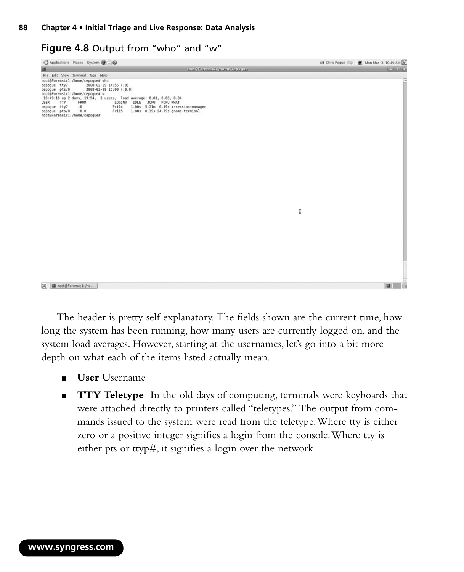**Figure 4.8** Output from "who" and "w"



The header is pretty self explanatory. The fields shown are the current time, how long the system has been running, how many users are currently logged on, and the system load averages. However, starting at the usernames, let's go into a bit more depth on what each of the items listed actually mean.

- **User** Username ■
- **TTY Teletype** In the old days of computing, terminals were keyboards that were attached directly to printers called "teletypes." The output from commands issued to the system were read from the teletype.Where tty is either zero or a positive integer signifies a login from the console.Where tty is either pts or ttyp#, it signifies a login over the network. ■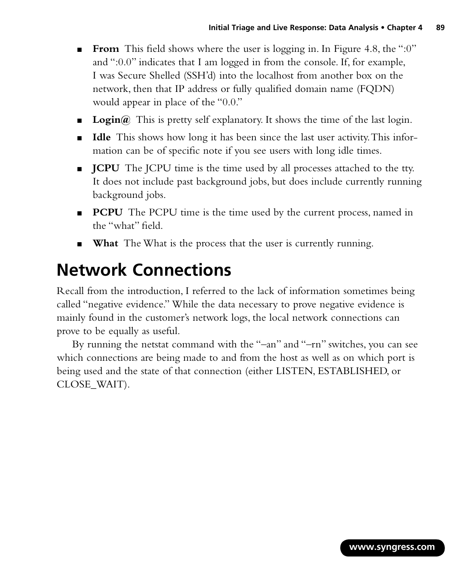- From This field shows where the user is logging in. In Figure 4.8, the ":0" and ":0.0" indicates that I am logged in from the console. If, for example, I was Secure Shelled (SSH'd) into the localhost from another box on the network, then that IP address or fully qualified domain name (FQDN) would appear in place of the "0.0."
- Login@ This is pretty self explanatory. It shows the time of the last login.
- Idle This shows how long it has been since the last user activity. This information can be of specific note if you see users with long idle times.
- **JCPU** The JCPU time is the time used by all processes attached to the tty. It does not include past background jobs, but does include currently running background jobs.
- PCPU The PCPU time is the time used by the current process, named in the "what" field.
- **What** The What is the process that the user is currently running. ■

## **Network Connections**

Recall from the introduction, I referred to the lack of information sometimes being called "negative evidence." While the data necessary to prove negative evidence is mainly found in the customer's network logs, the local network connections can prove to be equally as useful.

By running the netstat command with the "–an" and "–rn" switches, you can see which connections are being made to and from the host as well as on which port is being used and the state of that connection (either LISTEN, ESTABLISHED, or CLOSE\_WAIT).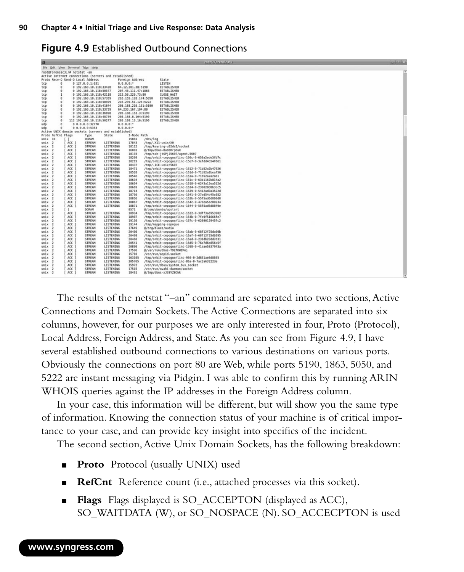**Figure 4.9** Established Outbound Connections

| a                         |                    |                  |                                                       |                               |                                             |                   | routeb Forenabele /                                                  | $ n$ |
|---------------------------|--------------------|------------------|-------------------------------------------------------|-------------------------------|---------------------------------------------|-------------------|----------------------------------------------------------------------|------|
|                           |                    |                  | Ele Edit View Terminal Tabs Help                      |                               |                                             |                   |                                                                      |      |
|                           |                    |                  | root@Forensic3:/# netstat -an                         |                               |                                             |                   |                                                                      | E    |
|                           |                    |                  | Active Internet connections (servers and established) |                               |                                             |                   |                                                                      |      |
|                           |                    |                  | Proto Recv-O Send-O Local Address                     |                               | Foreign Address                             |                   | State                                                                |      |
| tcp                       | 8                  |                  | 0, 127.0.0.1:631                                      |                               | $0.0.0.01$ *                                |                   | LISTEN                                                               |      |
| tcp                       | $\theta$           |                  | 0 192.168.10.118:33428                                |                               | 64.12.201.38:5190                           |                   | <b>ESTABLISHED</b>                                                   |      |
| tcp                       | $\theta$           |                  | 0 192.168.10.118:50577                                |                               | 207.46.111.47:1863                          |                   | <b>ESTABLISHED</b>                                                   |      |
| tcp                       | 1<br>$\theta$      |                  | 0 192.168.10.118:42118                                |                               | 212.58.226.73:80                            |                   | <b>CLOSE WAIT</b>                                                    |      |
| tcp                       | 8                  |                  | 0 192.168.10.118:57359                                |                               | 216.155.193.174:5850                        |                   | ESTABLISHED                                                          |      |
| tcp<br>tcp                | a                  |                  | 0 192.168.10.118:58929<br>0 192.168.10.118:41844      |                               | 216.239.51.125:5222<br>205.188.210.131:5190 |                   | ESTABLISHED<br>ESTABLISHED                                           |      |
| tcp                       | $\theta$           |                  | 0 192.168.10.118:33739                                |                               | 64.233.167.104:80                           |                   | ESTABLISHED                                                          |      |
| tcp                       | $\theta$           |                  | 0 192.168.10.118:36898                                |                               | 205.188.153.3:5190                          |                   | ESTABLISHED                                                          |      |
| tcp                       | a                  |                  | 0 192.168.10.118:48759                                |                               | 265.188.8.104:5190                          |                   | <b>ESTABLISHED</b>                                                   |      |
| tcp                       | $\theta$           |                  | 112 192.168.10.118:50277                              |                               | 205.188.13.16:5190                          |                   | <b>ESTABLISHED</b>                                                   |      |
| udp                       | a                  |                  | 0 0.0.0.8:32778                                       |                               | $0.0.0.0:$ *                                |                   |                                                                      |      |
| udp                       | $\theta$           |                  | 0.0.0.0.0:5353                                        |                               | $0.0.0.01*$                                 |                   |                                                                      |      |
|                           |                    |                  | Active UNIX domain sockets (servers and established)  |                               |                                             |                   |                                                                      |      |
|                           | Proto RefCnt Flags |                  | Type.                                                 | State                         | I-Node Path                                 |                   |                                                                      |      |
| $unix$ 10                 |                    |                  | DGRAM                                                 |                               | 15881                                       | /dev/log          |                                                                      |      |
| unix <sub>2</sub>         |                    | ACC              | <b>STREAM</b>                                         | LISTENING                     | 17843                                       | /tmp/.X11-unix/X8 |                                                                      |      |
| $unix$ 2                  |                    | ACC              | <b>STREAM</b>                                         | <b>LISTENING</b>              | 18112                                       |                   | /tmp/keyring-u32dsI/socket                                           |      |
| unix <sub>2</sub>         |                    | ACC.             | <b>STREAM</b>                                         | LISTENING                     | 16001                                       |                   | @/tmp/dbus-BuB3Rrp6uX                                                |      |
| unix <sub>2</sub>         |                    | ACC              | STREAM                                                | LISTENING                     | 18193                                       |                   | /tmp/ssh-jtGPjJ5607/agent.5607                                       |      |
| unix <sub>2</sub>         |                    | ACC              | <b>STREAM</b>                                         | LISTENING                     | 18289                                       |                   | /tmp/orbit-cepogue/linc-160c-0-658a2ede3fb7c                         |      |
| $unix$ 2                  |                    | ACC              | <b>STREAM</b>                                         | LISTENING                     | 18219                                       |                   | /tmp/orbit-cepoque/linc-15e7-0-3efdd4b54f661                         |      |
| $unix$ 2<br>$unix$ 2      |                    | ACC<br>ACC.      | <b>STREAM</b><br>STREAM                               | LISTENING                     | 18437<br>18471                              |                   | /tmp/.ICE-unix/5607<br>/tmp/orbit-cepoque/linc-1612-0-71b52a2b47926  |      |
| unix <sub>2</sub>         |                    | ACC              | <b>STREAM</b>                                         | LISTENING<br><b>LISTENING</b> | 18528                                       |                   | /tmp/orbit-cepoque/linc-161d-0-71b52a2beaf50                         |      |
| $unix$ 2                  |                    | ACC              | <b>STREAM</b>                                         | <b>LISTENING</b>              | 18546                                       |                   | /tmp/orbit-cepoque/linc-161a-0-71b52a2a2a81                          |      |
| unix <sub>2</sub>         |                    | ACC.             | <b>STREAM</b>                                         | LISTENING                     | 18634                                       |                   | /tmp/orbit-cepoque/linc-161c-0-63b1162b814a2                         |      |
| unix <sub>2</sub>         |                    | ACC:             | <b>STREAM</b>                                         | LISTENING                     | 18654                                       |                   | /tmp/orbit-cepoque/linc-1618-0-6243al5ea512d                         |      |
| unix <sub>2</sub>         |                    | ACC <sup>1</sup> | <b>STREAM</b>                                         | LISTENING                     | 18669                                       |                   | /tmp/orbit-cepogue/linc-1634-0-230028d8b3cc5                         |      |
| unix <sub>2</sub>         |                    | ACC              | <b>STREAM</b>                                         | <b>LISTENING</b>              | 18714                                       |                   | /tmp/orbit-cepoque/linc-1639-0-5412ad0a3522d                         |      |
| $unix$ 2                  |                    | ACC              | <b>STREAM</b>                                         | <b>LISTENING</b>              | 18756                                       |                   | /tmp/orbit-cepoque/linc-1641-0-27ad54d45c052                         |      |
| unix <sub>2</sub>         |                    | ACC.             | STREAM                                                | LISTENING                     | 18856                                       |                   | /tmp/orbit-cepoque/linc-163b-0-55f5ad6d860d8                         |      |
| unix <sub>2</sub>         |                    | ACC              | STREAM                                                | <b>LISTENING</b>              | 18867                                       |                   | /tmp/orbit-cepogue/linc-164c-0-47eea5ac88234                         |      |
| unix <sub>2</sub>         |                    | ACC 1            | <b>STREAM</b>                                         | LISTENING                     | 18871                                       |                   | /tmp/orbit-cepoque/linc-1644-0-55f5ad6d8849e                         |      |
| unix <sub>2</sub>         |                    |                  | DGRAM                                                 |                               | 8571                                        |                   | @/com/ubuntu/upstart                                                 |      |
| unix <sub>2</sub>         |                    | ACC              | <b>STREAM</b>                                         | <b>LISTENING</b>              | 18934                                       |                   | /tmp/orbit-cepoque/linc-1622-0-3dff3a6953982                         |      |
| unix                      | $\overline{2}$     | ACC<br>ACC.      | <b>STREAM</b><br><b>STREAM</b>                        | LISTENING<br><b>LISTENING</b> | 18987<br>19130                              |                   | /tmp/orbit-cepoque/linc-164b-0-7fa9f51666fe7                         |      |
| unix <sub>2</sub><br>unix | $\overline{2}$     | ACC              | <b>STREAM</b>                                         | LISTENING                     | 19144                                       |                   | /tmp/orbit-cepoque/linc-167c-0-6269012945fc2<br>/tmp/mapping-cepoque |      |
| unix                      | $\overline{2}$     | ACC.             | <b>STREAM</b>                                         | <b>LISTENING</b>              | 17649                                       | @/org/bluez/audio |                                                                      |      |
| unix                      | $\overline{2}$     | ACC              | <b>STREAM</b>                                         | LISTENING                     | 20400                                       |                   | /tmp/orbit-cepoque/linc-16ab-0-68f12f25da00b                         |      |
| unix                      | $\rightarrow$      | <b>ACC</b>       | <b>STREAM</b>                                         | <b>LISTENING</b>              | 20408                                       |                   | /tmp/orbit-cepoque/linc-16af-0-68f12f25db595                         |      |
| unix                      | $\overline{2}$     | ACC              | <b>STREAM</b>                                         | LISTENING                     | 28468                                       |                   | /tmp/orbit-cepoque/linc-16ad-0-231db20dd7d31                         |      |
| unix                      | $\overline{2}$     | ACC              | <b>STREAM</b>                                         | LISTENING                     | 20541                                       |                   | /tmp/orbit-cepoque/linc-16d5-0-76a7d6e856c5f                         |      |
| unix                      | $\overline{2}$     | ACC              | <b>STREAM</b>                                         | LISTENING                     | 28890                                       |                   | /tmp/orbit-cepoque/linc-1768-0-41aae5837943a                         |      |
| unix                      | $\overline{2}$     | ACC              | <b>STREAM</b>                                         | <b>LISTENING</b>              | 17596                                       |                   | @/var/run/dbus-T9EfKWIMoj                                            |      |
| $unix$ 2                  |                    | ACC              | <b>STREAM</b>                                         | <b>LISTENING</b>              | 15718                                       |                   | /var/run/acpid.socket                                                |      |
| unix                      | $\overline{2}$     | ACC              | <b>STREAM</b>                                         | LISTENING                     | 163105                                      |                   | /tmp/orbit-cepoque/linc-950-0-2d831ae5d8035                          |      |
| unix <sub>2</sub>         |                    | ACC.             | STREAM                                                | <b>LISTENING</b>              | 385765                                      |                   | /tmp/orbit-cepoque/linc-86a-0-7ac2a63222de                           |      |
| $unix$ 2                  |                    | ACC              | <b>STREAM</b>                                         | LISTENING                     | 15972                                       |                   | /var/run/dbus/system bus socket                                      |      |
| unix <sub>2</sub>         |                    | ACC              | <b>STREAM</b>                                         | LISTENING                     | 17515                                       |                   | /var/run/avahi-daemon/socket                                         |      |
| unix <sub>2</sub>         |                    | ACC.             | STREAM                                                | LISTENING                     | 18451                                       |                   | @/tmp/dbus-xJ38YZBCbk                                                |      |
|                           |                    |                  |                                                       |                               |                                             |                   |                                                                      |      |

The results of the netstat "–an" command are separated into two sections, Active Connections and Domain Sockets.The Active Connections are separated into six columns, however, for our purposes we are only interested in four, Proto (Protocol), Local Address, Foreign Address, and State.As you can see from Figure 4.9, I have several established outbound connections to various destinations on various ports. Obviously the connections on port 80 are Web, while ports 5190, 1863, 5050, and 5222 are instant messaging via Pidgin. I was able to confirm this by running ARIN WHOIS queries against the IP addresses in the Foreign Address column.

In your case, this information will be different, but will show you the same type of information. Knowing the connection status of your machine is of critical importance to your case, and can provide key insight into specifics of the incident.

The second section,Active Unix Domain Sockets, has the following breakdown:

- Proto Protocol (usually UNIX) used
- RefCnt Reference count (i.e., attached processes via this socket).
- Flags Flags displayed is SO\_ACCEPTON (displayed as ACC), SO\_WAITDATA (W), or SO\_NOSPACE (N). SO\_ACCECPTON is used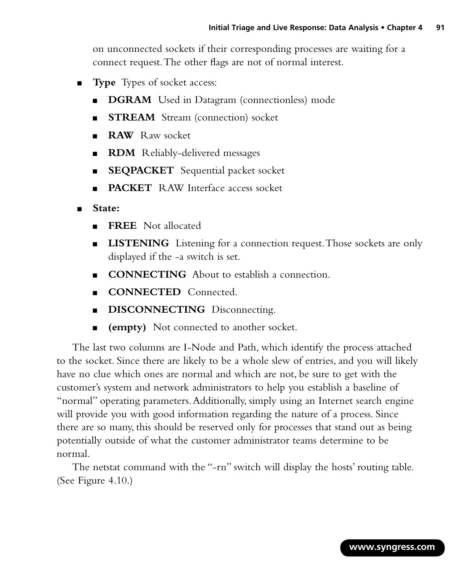on unconnected sockets if their corresponding processes are waiting for a connect request.The other flags are not of normal interest.

- **Type** Types of socket access: ■
	- **DGRAM** Used in Datagram (connectionless) mode ■
	- **STREAM** Stream (connection) socket ■
	- **RAW** Raw socket ■
	- **RDM** Reliably-delivered messages ■
	- **SEQPACKET** Sequential packet socket ■
	- **PACKET** RAW Interface access socket ■
- **State:** ■
	- **FREE** Not allocated ■
	- **LISTENING** Listening for a connection request. Those sockets are only displayed if the -a switch is set. ■
	- **CONNECTING** About to establish a connection. ■
	- **CONNECTED** Connected. ■
	- **DISCONNECTING** Disconnecting. ■
	- **(empty)** Not connected to another socket. ■

The last two columns are I-Node and Path, which identify the process attached to the socket. Since there are likely to be a whole slew of entries, and you will likely have no clue which ones are normal and which are not, be sure to get with the customer's system and network administrators to help you establish a baseline of "normal" operating parameters.Additionally, simply using an Internet search engine will provide you with good information regarding the nature of a process. Since there are so many, this should be reserved only for processes that stand out as being potentially outside of what the customer administrator teams determine to be normal.

The netstat command with the "-rn" switch will display the hosts' routing table. (See Figure 4.10.)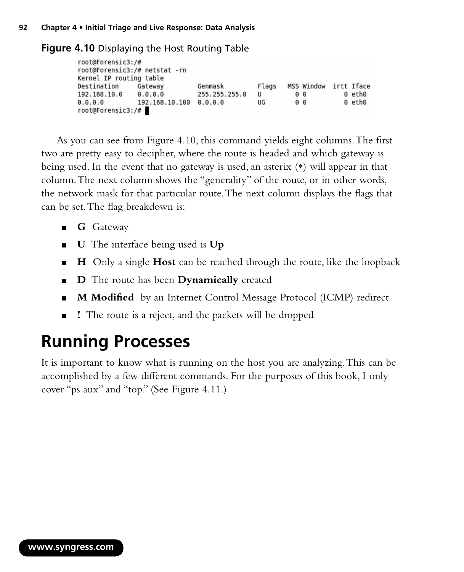**Figure 4.10** Displaying the Host Routing Table

root@Forensic3:/# root@Forensic3:/# netstat -rn Kernel IP routing table Destination Gateway Genmask Flags MSS Window irtt Iface  $0.0.0.0$ 255.255.255.0  $\mathbf{u}$  $0$   $\theta$  $0$  eth $0$ 192.168.10.0  $0.0.0.0$ 192.168.10.100 0.0.0.0 UG  $0$  0  $0$  eth $0$ root@Forensic3:/#

As you can see from Figure 4.10, this command yields eight columns.The first two are pretty easy to decipher, where the route is headed and which gateway is being used. In the event that no gateway is used, an asterix (\*) will appear in that column.The next column shows the "generality" of the route, or in other words, the network mask for that particular route.The next column displays the flags that can be set.The flag breakdown is:

- **G** Gateway
- **U** The interface being used is Up
- **H** Only a single **Host** can be reached through the route, like the loopback ■
- **D** The route has been **Dynamically** created ■
- **M Modified** by an Internet Control Message Protocol (ICMP) redirect ■
- **!** The route is a reject, and the packets will be dropped ■

## **Running Processes**

It is important to know what is running on the host you are analyzing.This can be accomplished by a few different commands. For the purposes of this book, I only cover "ps aux" and "top." (See Figure 4.11.)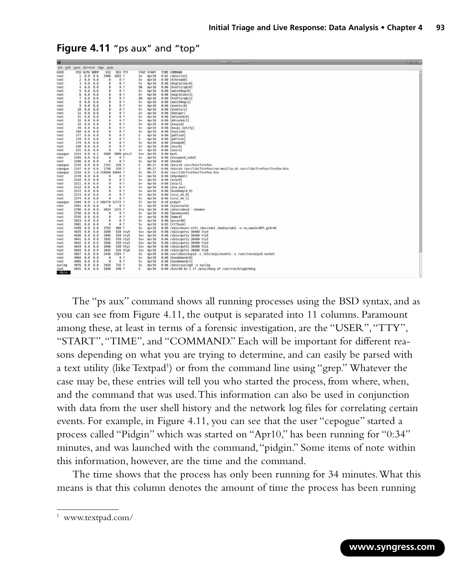**Figure 4.11** "ps aux" and "top"

| a               |                              |                     |                     |                                 |                    |          |                   |             | route Formulain                                                                                            | <b>Service Co.</b> |  |
|-----------------|------------------------------|---------------------|---------------------|---------------------------------|--------------------|----------|-------------------|-------------|------------------------------------------------------------------------------------------------------------|--------------------|--|
| Ele             |                              |                     |                     | Edit View Terminal Tags Help    |                    |          |                   |             |                                                                                                            |                    |  |
| <b>USER</b>     |                              | PID NCPU NMEM       |                     | VSZ                             | <b>RSS TTY</b>     |          | <b>STAT START</b> |             | TIME COMMAND                                                                                               |                    |  |
| root            |                              | $1 \theta.0$        | 0.0                 | 2948                            | 1852 7             | 55       | Apr10             |             | $0:01$ /sbin/init                                                                                          |                    |  |
| root            |                              | 2 0.0 0.0           |                     | $\theta$                        | 0.7                | Se       | Apr10             |             | 0:00 [kthreadd]                                                                                            |                    |  |
| root            |                              | 30.000.0            |                     | $\theta$                        | 0.7                | 5<       | Apr18             |             | 0:00 [migration/0]                                                                                         |                    |  |
| root            |                              | 40.00.0             |                     | $\theta$                        | 0.7                | SN       | Apr10             |             | 0:00 [ksoftirqd/0]                                                                                         |                    |  |
| root            |                              | 50.0                | 0.0                 | $\theta$                        | 0.7                | 5<       | Apr10             |             | 0:00 [watchdog/0]                                                                                          |                    |  |
|                 |                              | 60.0                | 0.8                 | $\theta$                        | 67                 | 5<       | Apr10             |             | 0:00 [migration/1]                                                                                         |                    |  |
| root            |                              | 70.0                | 0.0                 | $\theta$                        | 07                 | SN       | Apr10             |             | 0:00 [ksoftirgd/1]                                                                                         |                    |  |
| root            |                              | 8 0.0               | 0.0                 | e                               | 0.7                | 5<       | Apr10             |             | 0:00 [watchdog/1]                                                                                          |                    |  |
| root            |                              |                     | 0.0                 | $\theta$                        | 0.7                | 5<       |                   |             |                                                                                                            |                    |  |
| root            |                              | 90.0<br>10 0.0      | 0.0                 | $\theta$                        | 0.7                | 5<       | Apr10<br>Apr10    |             | $0:00$ [events/0]<br>$0:00$ [events/1]                                                                     |                    |  |
| root            |                              | 11 0.0              | 0.0                 | $\theta$                        | 0.7                | S<       | Apr10             |             | 0:00 [khelper]                                                                                             |                    |  |
| root            |                              | 31 0.0 0.0          |                     | $\theta$                        | 87                 | 5<       | Apr18             |             | 0:00 [kblockd/0]                                                                                           |                    |  |
| root<br>root    |                              | 32 0.0 0.0          |                     | $\Theta$                        | 87                 | 5<       | Apr10             |             | 0:00 [kblockd/1]                                                                                           |                    |  |
|                 |                              | $33 \t0.0$          | $\theta$ . $\theta$ | $\theta$                        | 87                 | 5<       | Apr10             |             | 0:00 [kacpid]                                                                                              |                    |  |
| root<br>root    |                              | 340.0               | 0.0                 | $\theta$                        | 0.7                | 5<       | Apr10             |             | 0:00 [kacpi notify]                                                                                        |                    |  |
|                 |                              | 150 0.0 0.0         |                     | $\theta$                        | 87                 | 5<       | Apr10             |             | 0:00 [kseriod]                                                                                             |                    |  |
| root            |                              |                     | 0.0                 | $\theta$                        | 0.7                | s        |                   |             |                                                                                                            |                    |  |
| root            |                              | 177 0.0<br>178 0.0  |                     | $\theta$                        | 0.7                | s        | Apr10             |             | 0:00 [pdflush]<br>0:00 [pdflush]                                                                           |                    |  |
| root            |                              | 1790.0              | 0.0<br>0.0          | $\theta$                        | 0.7                |          | Apr10             |             |                                                                                                            |                    |  |
| root            |                              | 238 0.0 0.0         |                     | $\theta$                        | 87                 | 5<<br>5< | Apr10<br>Apr10    |             | 0:00 [kswapd0]<br>$0:00$ [aio/0]                                                                           |                    |  |
| root            | 231                          |                     |                     |                                 | 87                 | 5<       |                   |             |                                                                                                            |                    |  |
| root            |                              | $\theta$ . $\theta$ | 0.0                 | θ<br>5688                       | 3000 pts/2         | $5s*$    | Apr10             |             | $0:00$ [aio/1]                                                                                             |                    |  |
| cepoque         | 1314 0.0                     | 2105 0.0 0.0        | 0.1                 | $\theta$                        | 07                 | S<       | Apr10             | $0:00$ bash |                                                                                                            |                    |  |
| root            | 2106                         |                     |                     | 0                               | 0.7                |          | Apr10             |             | 0:00 [ksuspend usbd]                                                                                       |                    |  |
| root            |                              | 0.0 0.0             |                     |                                 |                    | S<       | Apr10<br>86:17    |             | $0:00$ [khubd]                                                                                             |                    |  |
| cepogue         | 2135                         |                     | 0.0 0.0             | 1752<br>1756                    | 528 7<br>528 7     | s<br>s   |                   |             | 0:00 /bin/sh /usr/bin/firefox<br>0:00 /bin/sh /usr/lib/firefox/run-mozilla.sh /usr/lib/firefox/firefox-bin |                    |  |
| cepogue         | 2147                         |                     | 0, 0, 0, 0          |                                 |                    | sı       | 06:17             |             | 0:02 /usr/lib/firefox/firefox-bin                                                                          |                    |  |
| cepogue         | 2154 0.0                     |                     |                     |                                 | 1.6 118500 34644 7 |          | 06:17             |             | 0:00 [khpsbpkt]                                                                                            |                    |  |
| root            | 2178 0.0 0.0                 |                     |                     | $\theta$<br>$\theta$            | 0.7<br>$B$ ?       | 5<       | Apr10             |             |                                                                                                            |                    |  |
| root            | 2210 0.0 0.0<br>2211 0.0 0.0 |                     |                     | $\theta$                        | 87                 | 5<<br>5< | Apr18<br>Apr10    |             | $0:00$ [ata/0]<br>$0:00$ [ata/1]                                                                           |                    |  |
| root            |                              |                     |                     | $\Theta$                        | $B$ $\bar{r}$      | 5<       |                   |             | $0:00$ [ata aux]                                                                                           |                    |  |
| root<br>root    | 2212 0.0 0.0<br>2272 0.0 0.0 |                     |                     | $_{\scriptscriptstyle{\theta}}$ | 0.7                | 5<       | Apr10<br>Apr10    |             | 0:00 [knodemgrd 0]                                                                                         |                    |  |
|                 |                              |                     |                     | $\theta$                        | 0.7                | 5<       |                   |             | $0:00$ [scsi ch $0$ ]                                                                                      |                    |  |
| root<br>root    | 2273 0.0 0.0<br>2274 0.0 0.0 |                     |                     | $\theta$                        | 0.7                | 5<       | Apr10<br>Apr10    |             | 0:00 [scsi eh 1]                                                                                           |                    |  |
|                 | $2384$ 0.0                   |                     |                     |                                 | 1.5 106776 31772 7 | sı       | Apr18             |             | $0:29$ pidgin                                                                                              |                    |  |
| cepogue<br>root |                              | 2501 0.0 0.0        |                     | $\theta$                        | 0.7                | 5<       | Apr10             |             | 0:00 [kjournald]                                                                                           |                    |  |
| root            | 2786 0.0 0.0                 |                     |                     |                                 | 3024 1372 7        | 5< s     | Apr18             |             | 0:00 /sbin/udevd --daemon                                                                                  |                    |  |
| root            | 3738                         | 0.0 0.0             |                     | $\theta$                        | 67                 | S<       | Apr10             |             | 0:00 [kpsmoused]                                                                                           |                    |  |
| root            | 3745                         | 0.0 0.0             |                     | ٠                               | 0.7                | S<       | Apr10             |             | $0:00$ [kmmcd]                                                                                             |                    |  |
| root            | 3823                         | 0.0 0.0             |                     | e                               | 0.7                | s<       | Apr10             |             | 0:00 [pccardd]                                                                                             |                    |  |
|                 | 3981 0.0 0.0                 |                     |                     | $\theta$                        | 67                 | S<       | Apr10             |             | $0:02$ [rt73usb]                                                                                           |                    |  |
| root<br>root    | 4399 0.0 0.0                 |                     |                     | 3792                            | 988 ?              | Ss.      | Apr10             |             | 0:00 /sbin/mount.ntfs /dev/sdal /media/sdal -o rw.umask=007.gid=46                                         |                    |  |
| root            |                              | 4635 0.0 0.0        |                     | 1696                            | 520 tty4           | $$5+$    | Apr18             |             | 0:00 /sbin/getty 38400 tty4                                                                                |                    |  |
| root            |                              | 4636 0.0 0.0        |                     | 1696                            | 520 tty5           | $5s*$    | Apr10             |             | 0:00 /sbin/getty 38400 tty5                                                                                |                    |  |
| root            |                              | 4641 0.0 0.0        |                     | 1692                            | 516 tty2           | $5s*$    | Apr10             |             | 0:00 /sbin/getty 38400 tty2                                                                                |                    |  |
| root            | 4642 0.0 0.0                 |                     |                     | 1696                            | 520 tty3           | $5s*$    | Apr10             |             | 0:00 /sbin/getty 38400 tty3                                                                                |                    |  |
| root            | 4643                         | 0.0                 | 0.0                 | 1696                            | 520 ttyl           | $S5+$    | Apr18             |             | 0:00 /sbin/getty 38400 ttyl                                                                                |                    |  |
| root            |                              | 4644 8.8 8.8        |                     | 1692                            | 516 tty6           | $S5+$    | Apr18             |             | 0:00 /sbin/getty 38400 tty6                                                                                |                    |  |
| root            | 4857 8.8 8.8                 |                     |                     | 2436                            | 1324 7             | Ss       | Apr10             |             | 0:00 /usr/sbin/acpid -c /etc/acpi/events -s /var/run/acpid.socket                                          |                    |  |
| root            | 4984 8.8 8.8                 |                     |                     | 8                               | 0.7                | S<       | Apr18             |             | 0:00 [kondemand/0]                                                                                         |                    |  |
| root            | 4985                         | 0.0 0.0             |                     | $\theta$                        | 0.7                | S<       | Apr10             |             | 0:00 [kondemand/1]                                                                                         |                    |  |
| syslog          | 4976 0.0 0.0                 |                     |                     | 1916                            | 732 7              | Ss.      | Apr18             |             | 0:00 /sbin/syslogd -u syslog                                                                               |                    |  |
| root            |                              | 5031 0.0 0.0        |                     | 1848                            | 548 7              | s.       | Apr18             |             | 0:00 /bin/dd bs 1 if /proc/kmsg of /var/run/klogd/kmsg                                                     |                    |  |
| $-$ -More $-$   |                              |                     |                     |                                 |                    |          |                   |             |                                                                                                            |                    |  |
|                 |                              |                     |                     |                                 |                    |          |                   |             |                                                                                                            |                    |  |

The "ps aux" command shows all running processes using the BSD syntax, and as you can see from Figure 4.11, the output is separated into 11 columns. Paramount among these, at least in terms of a forensic investigation, are the "USER","TTY", "START","TIME", and "COMMAND." Each will be important for different reasons depending on what you are trying to determine, and can easily be parsed with a text utility (like Textpad<sup>1</sup>) or from the command line using "grep." Whatever the case may be, these entries will tell you who started the process, from where, when, and the command that was used.This information can also be used in conjunction with data from the user shell history and the network log files for correlating certain events. For example, in Figure 4.11, you can see that the user "cepogue" started a process called "Pidgin" which was started on "Apr10," has been running for "0:34" minutes, and was launched with the command,"pidgin." Some items of note within this information, however, are the time and the command.

The time shows that the process has only been running for 34 minutes.What this means is that this column denotes the amount of time the process has been running

<sup>1</sup> www.textpad.com/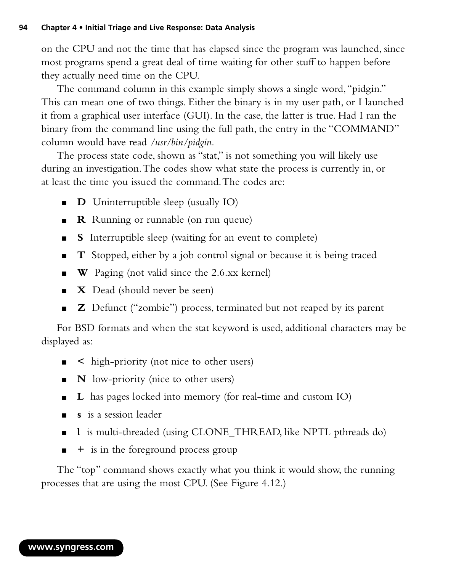on the CPU and not the time that has elapsed since the program was launched, since most programs spend a great deal of time waiting for other stuff to happen before they actually need time on the CPU.

The command column in this example simply shows a single word,"pidgin." This can mean one of two things. Either the binary is in my user path, or I launched it from a graphical user interface (GUI). In the case, the latter is true. Had I ran the binary from the command line using the full path, the entry in the "COMMAND" column would have read */usr/bin/pidgin*.

The process state code, shown as "stat," is not something you will likely use during an investigation.The codes show what state the process is currently in, or at least the time you issued the command.The codes are:

- **D** Uninterruptible sleep (usually IO)
- **R** Running or runnable (on run queue)
- **S** Interruptible sleep (waiting for an event to complete) ■
- **T** Stopped, either by a job control signal or because it is being traced ■
- **W** Paging (not valid since the 2.6.xx kernel) ■
- **X** Dead (should never be seen) ■
- **Z** Defunct ("zombie") process, terminated but not reaped by its parent ■

For BSD formats and when the stat keyword is used, additional characters may be displayed as:

- < high-priority (not nice to other users)
- **N** low-priority (nice to other users)
- L has pages locked into memory (for real-time and custom IO)
- **s** is a session leader
- 1 is multi-threaded (using CLONE\_THREAD, like NPTL pthreads do)
- **+** is in the foreground process group

The "top" command shows exactly what you think it would show, the running processes that are using the most CPU. (See Figure 4.12.)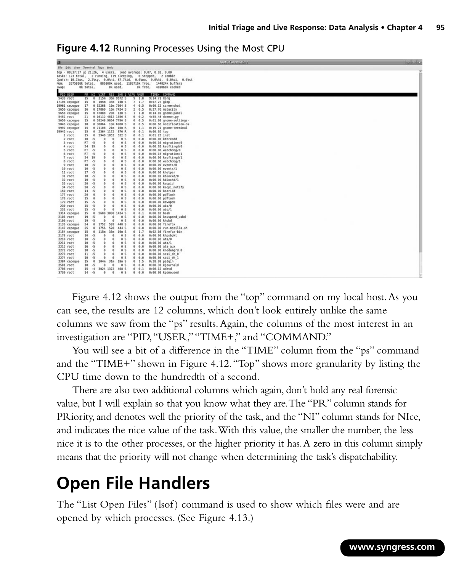| a                                                                        |                                                                                      | rockhilders in the                   | <b>COLORED</b> |
|--------------------------------------------------------------------------|--------------------------------------------------------------------------------------|--------------------------------------|----------------|
| Ele Edit View Terminal Tabs Help                                         |                                                                                      |                                      |                |
|                                                                          |                                                                                      |                                      |                |
| top - 08:37:27 up 21:26, 4 users, load average: 0.07, 0.02, 0.00         |                                                                                      |                                      |                |
| Tasks: 123 total, 2 running, 119 sleeping, 0 stopped, 2 zombie           |                                                                                      |                                      |                |
| Cpu(s): 10.1%us, 2.2%sy, 0.0%ni, 87.7%id, 0.0%wa, 0.0%hi, 0.0%si, 0.0%st |                                                                                      |                                      |                |
| 2075816k total, 886100k used, 1189716k free, 144824k buffers<br>Mem:     |                                                                                      |                                      |                |
| Swap:<br>Ok used.<br>Ok total,                                           | Ok free.                                                                             | 481068k cached                       |                |
|                                                                          |                                                                                      |                                      |                |
| PR NI VIRT RES SHR S \CPU \MEM<br>PID USER                               |                                                                                      | TIME+ COMMAND                        |                |
| 5433 root<br>15 <sup>2</sup><br>0.315m                                   | 36m 9572 S<br>91.8                                                                   | $9:14.71$ Xorg                       |                |
| 15<br>0 105m<br>17196 cepoque                                            | 34m 14m S<br>7, 1.7                                                                  | $0:07.27$ gimp                       |                |
| 19961 cepoque<br>17<br>032268                                            | 10m 7564 S<br>40.5                                                                   | 0:00.12 screenshot                   |                |
| 5656 cepoque<br>16 0 17860                                               | 10m 7424 S<br>20.5                                                                   | $0:27.76$ metacity                   |                |
| 5658 cepogue<br>15<br>0 47888<br>20 <sub>m</sub>                         | 13m <sub>5</sub><br>1 1.0                                                            | 0:14.02 gnome-panel                  |                |
| 5452 root<br>21<br>0 16112 4812 1556 S                                   | $0 \t 0.2$                                                                           | 4:55.48 daemon.py                    |                |
| 5650 cepoque<br>15<br>0 38248 9864 7796 S                                | 0.6.5                                                                                | 0:01.08 gnome-settings-              |                |
| 5845 cepoque<br>18<br>8 38864                                            | 0.5<br>18m 6968 S                                                                    | 0:00.66 notification-da              |                |
| 5992 cepoque<br>15<br>21m<br>0 71108                                     | 0 1.1<br>10m R                                                                       | 0:19.21 gnome-terminal               |                |
| 19942 root<br>15 <sub>15</sub><br>2364 1172<br>$\theta$                  | 876 R<br>0 0.1                                                                       | $0:00.02$ top                        |                |
| 15<br>2948 1852<br>1 root<br>$\theta$                                    | 532 S<br>0 0.1                                                                       | $0:01.23$ init                       |                |
| 2 root<br>$10 - 5$<br>0<br>ø                                             | 0S<br>$\theta$<br>$\theta$ . $\theta$                                                | 0:00.00 kthreadd                     |                |
| 3 root<br>RT -5<br>Θ<br>$\theta$                                         | <b>8 S</b><br>$_{\scriptscriptstyle{\theta}}$<br>0.0                                 | $0:00.16$ migration/0                |                |
| 34 19<br>ø<br>$\theta$<br>4 root                                         | 0S<br>$\theta$<br>$\theta$ . $\theta$                                                | 0:00.02 ksoftirgd/0                  |                |
| RT -5<br>5 root<br>$\theta$<br>$\theta$                                  | B S<br>0.0.0                                                                         | $0:00.00$ watchdog/0                 |                |
| $RT - 5$<br>6 root<br>0<br>8                                             | 8S<br>θ.<br>$\theta$ . $\theta$                                                      | $0:00.14$ migration/1                |                |
| 34 19<br>7 root<br>ø<br>$\theta$                                         | 0S<br>$\theta$<br>0.0                                                                | 0:00.00 ksoftirgd/1                  |                |
| RT -5<br>ë<br>8                                                          | $\theta$                                                                             | $0:00.00$ watchdog/1                 |                |
| 8 root<br>10<br>e<br>8                                                   | 8 S<br>$\theta$ . $\theta$                                                           | $0:00.09$ events/0                   |                |
| 9 root<br>$-5$<br>$10 - 5$<br>8<br>$\theta$                              | 0 <sub>S</sub><br>$\theta$<br>$\theta$ . $\theta$<br>$\theta$<br>$\theta$ . $\theta$ | $0:00.00$ events/1                   |                |
| 10 root<br>ø<br>$\theta$                                                 | 0S                                                                                   |                                      |                |
| $17 - 5$<br>11 root<br>ø                                                 | 0.5<br>θ<br>0.0                                                                      | 0:00.00 khelper<br>0:00.02 kblockd/8 |                |
| $10 - 5$<br>31 root<br>0<br>$\theta$                                     | 0S<br>$\theta$<br>$\theta$ . $\theta$                                                |                                      |                |
| 32 root<br>$10 - 5$<br>$\theta$<br>θ<br>8                                | 0S<br>$\theta$<br>$\theta$ . $\theta$                                                | 0:00.00 kblockd/1                    |                |
| 33 root<br>$20 - 5$<br>ē<br>$\theta$                                     | 0S<br>$\theta$<br>0.0                                                                | $0:00.00$ kacpid                     |                |
| 20<br>34 root<br>$-5$                                                    | 0.5<br>$\theta$<br>$\theta$ . $\theta$                                               | 0:00.00 kacpi notify                 |                |
| 150 root<br>$14 - 5$<br>ø<br>$\theta$<br>ø<br>$\theta$                   | <b>8 S</b><br>$\theta$<br>0.0                                                        | 0:00.00 kseriod<br>0:00.00 pdflush   |                |
| 177 root<br>28<br>$\theta$                                               | 0S<br>0<br>$\theta$ . $\theta$                                                       |                                      |                |
| 178 root<br>15<br>$\theta$<br>ø<br>$\theta$<br>15<br>ė<br>$\theta$       | 0S<br>$\theta$<br>$\theta$ . $\theta$                                                | 0:00.00 pdflush                      |                |
| 179 root<br>$-5$<br>ø                                                    | <b>8 S</b><br>$\theta$<br>$\theta$ . $\theta$                                        | 0:00.00 kswapd0                      |                |
| 230 root<br>15<br>$-5$<br>$\theta$<br>A                                  | 0S<br>$\theta$<br>0.0                                                                | $0:00.00$ aio/0                      |                |
| $15 - 5$<br>231 root<br>$\theta$                                         | 0 <sub>5</sub><br>$\theta$<br>$\theta$ . $\theta$                                    | $0:00.00$ aio/1                      |                |
| 15<br>5608 3000 1424 S<br>1314 cepoque<br>$\theta$                       | $\theta$<br>$\theta.1$                                                               | $0:00.10$ bash                       |                |
| 19<br>2105 root<br>$-5$<br>ë<br>ë                                        | 0 <sub>5</sub><br>0.0.0                                                              | 0:00.00 ksuspend usbd                |                |
| $19 - 5$<br>2106 root<br>ă<br>e                                          | 0S<br>$\theta$<br>0.0                                                                | $0:00.00$ khubd                      |                |
| 2135 cepogue<br>24<br>$\theta$<br>1752<br>528                            | 448 S<br>ô<br>$\theta$ . $\theta$                                                    | 0:00.00 firefox                      |                |
| 25<br>1756<br>528<br>2147 cepoque<br>$\theta$                            | 444 S<br>$\theta$<br>0.0                                                             | 0:00.00 run-mozilla.sh               |                |
| 2154 cepoque<br>15<br>$\theta$<br>115m<br>33m                            | 19mS<br>0 1.7                                                                        | 0:02.08 firefox-bin                  |                |
| 2178 root<br>$10 - 5$<br>$\theta$<br>ë                                   | $\theta$<br>0S<br>$\theta$ . $\theta$                                                | 0:00.00 khpsbpkt                     |                |
| 2210 root<br>10<br>.5<br>ĕ<br>$\ddot{\mathbf{a}}$                        | 0S<br>0.0.0                                                                          | $0:00.06$ ata/ $0$                   |                |
| 2211 root<br>10<br>ê<br>ô<br>$-5$                                        | 8 S<br>$\theta$<br>0.0                                                               | $0:00.00$ ata/1                      |                |
| 2212 root<br>$16 - 5$<br>a<br>₿                                          | 0S<br>θ.<br>0.0                                                                      | 0:00.00 ata aux                      |                |
| $10 - 5$<br>2272 root<br>ø<br>ø                                          | <b>BS</b><br>$\theta$<br>0.0                                                         | 0:00.00 knodemgrd 0                  |                |
| 11<br>ë<br>2273 root<br>$-5$<br>$\theta$                                 | 8 S<br>$\theta$<br>0.0                                                               | 0:00.00 scsi eh 0                    |                |
| $10 - 5$<br>ø<br>2274 root<br>٥                                          | 0S<br>0.0.0                                                                          | 0:00.06 scsi ch 1                    |                |
| 2384 cepoque<br>15<br>$\theta$<br>31m<br>104m                            | Ð<br>19m S<br>1.5                                                                    | $0:28.99$ pidgin                     |                |
| 2581 root<br>$10 - 5$<br>8<br>ø                                          | B S<br>0.0.0                                                                         | 0:00.30 kjournald                    |                |
| $15 - 4$<br>3024 1372<br>2786 root                                       | 0.1<br>488 S                                                                         | 0:00.12 udevd                        |                |
| 3730 root<br>$14 - 5$<br>0                                               | 0.0.0<br><b>8 S</b>                                                                  | 0:00.00 kpsmoused                    |                |
|                                                                          |                                                                                      |                                      |                |

**Figure 4.12** Running Processes Using the Most CPU

Figure 4.12 shows the output from the "top" command on my local host.As you can see, the results are 12 columns, which don't look entirely unlike the same columns we saw from the "ps" results.Again, the columns of the most interest in an investigation are "PID,"USER,""TIME+," and "COMMAND."

You will see a bit of a difference in the "TIME" column from the "ps" command and the "TIME+" shown in Figure 4.12."Top" shows more granularity by listing the CPU time down to the hundredth of a second.

There are also two additional columns which again, don't hold any real forensic value, but I will explain so that you know what they are.The "PR" column stands for PRiority, and denotes well the priority of the task, and the "NI" column stands for NIce, and indicates the nice value of the task.With this value, the smaller the number, the less nice it is to the other processes, or the higher priority it has.A zero in this column simply means that the priority will not change when determining the task's dispatchability.

## **Open File Handlers**

The "List Open Files" ( lsof ) command is used to show which files were and are opened by which processes. (See Figure 4.13.)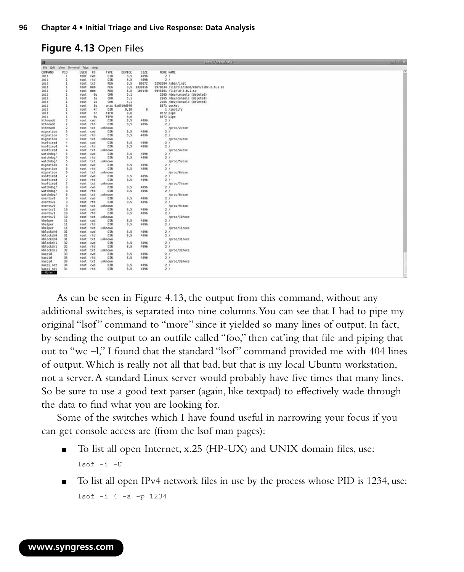#### **Figure 4.13** Open Files

| a                      |                                  |              |                |                |                 |          |                             | $\left  \frac{1}{2} \right $ and $\left  \frac{1}{2} \right $<br>rooter Forenatete / |  |
|------------------------|----------------------------------|--------------|----------------|----------------|-----------------|----------|-----------------------------|--------------------------------------------------------------------------------------|--|
|                        | Ele Edit View Terminal Tabs Help |              |                |                |                 |          |                             |                                                                                      |  |
| COMMAND                | PID                              | <b>USER</b>  | <b>FD</b>      | TYPE           | DEVICE          | SIZE     | NODE NAME                   |                                                                                      |  |
| init                   | 1                                | root         | cwd            | DIR            | 8,5             | 4896     | 21                          |                                                                                      |  |
| init                   | 1                                | root         | rtd            | DIR            | 8.5             | 4896     | 2/                          |                                                                                      |  |
| init                   | $\mathbf{1}$                     | root         | txt            | REG            | 8,5             | 88672    | 5292884 /sbin/init          |                                                                                      |  |
| init                   | 1                                | root         | nen            | REG            | 8,5             | 1339816  |                             | 9978834 /lib/tls/i686/cmov/libc-2.6.1.so                                             |  |
| init                   | 1                                | root         | nen            | REG            | 8,5             | 109148   | 9945101 /lib/ld-2.6.1.so    |                                                                                      |  |
| init                   | 1                                | root         | $\theta$ u     | CHR            | 5,1             |          | 2265 /dev/console (deleted) |                                                                                      |  |
| init                   | 1                                | root         | 1u             | <b>CHR</b>     | 5,1             |          | 2265 /dev/console (deleted) |                                                                                      |  |
| init                   | 1                                | root         | 2u             | CHR            | 5,1             |          | 2265 /dev/console (deleted) |                                                                                      |  |
| init                   | 1                                | root         | 3u             |                | unix @xdfd@d540 |          | 8571 socket                 |                                                                                      |  |
| init                   | 1                                | root         | 4 <sub>f</sub> | DIR            | 0,10            | $\theta$ | 1 /inotify                  |                                                                                      |  |
| init                   | 1                                | root         | 5r             | FIFO           | 0,6             |          | 8572 pipe                   |                                                                                      |  |
| init                   | 1                                | root         | 6w             | FIFO           | 0,6             |          | 8572 pipe                   |                                                                                      |  |
| kthreadd               | $\overline{2}$                   | root         | cwd            | DIR            | 8,5             | 4896     | 2/                          |                                                                                      |  |
| kthreadd               | $\overline{2}$                   | root         | rtd            | DIR            | 8,5             | 4896     | 2/                          |                                                                                      |  |
| kthreadd               | $\overline{2}$                   | root         | txt            | unknown        |                 |          | /proc/2/exe                 |                                                                                      |  |
| migration              | $\overline{3}$                   | root         | cwd            | DIR            | 8,5             | 4896     | 2/                          |                                                                                      |  |
| migration              | $\overline{3}$<br>3              | root         | rtd            | DIR            | 8,5             | 4896     | 2/                          |                                                                                      |  |
| migration              |                                  | root         | txt<br>cwd     | unknown<br>DIR |                 | 4896     | /proc/3/exe<br>2/           |                                                                                      |  |
| ksoftirgd<br>ksoftirgd |                                  | root<br>root | rtd            | DIR            | 8,5<br>8,5      | 4896     | 2/                          |                                                                                      |  |
| ksoftingd              |                                  | root         | txt            | unknown        |                 |          | /proc/4/exe                 |                                                                                      |  |
| watchdog/              | 5                                | root         | cwd            | DIR            | 8,5             | 4896     | 2/                          |                                                                                      |  |
| watchdog/              | ۹                                | root         | rtd            | DIR            | 8,5             | 4896     | 2/                          |                                                                                      |  |
| watchdog/              | 5                                | root         | txt            | unknown        |                 |          | /proc/5/exe                 |                                                                                      |  |
| migration              | 6                                | root         | cwd            | DIR            | 8,5             | 4896     | 2/                          |                                                                                      |  |
| migration              | 6                                | root         | rtd            | DIR            | 8,5             | 4896     | 2/                          |                                                                                      |  |
| migration              | 6                                | root         | txt            | unknown        |                 |          | /proc/6/exe                 |                                                                                      |  |
| ksoftirgd              | 7                                | root         | cwd            | DIR            | 8,5             | 4896     | 2/                          |                                                                                      |  |
| ksoftingd              | $\overline{7}$                   | root         | rtd            | DIR            | 8,5             | 4896     | 2/                          |                                                                                      |  |
| ksoftingd              |                                  | root         | txt            | unknown        |                 |          | /proc/7/exe                 |                                                                                      |  |
| watchdog/              |                                  | root         | cwd            | DIR            | 8,5             | 4896     | 2/                          |                                                                                      |  |
| watchdog/              |                                  | root         | rtd            | DIR            | 8,5             | 4896     | 2/                          |                                                                                      |  |
| watchdog/              | 8                                | root         | txt            | unknown        |                 |          | /proc/8/exe                 |                                                                                      |  |
| events/0               |                                  | root         | cwd            | DIR            | 8,5             | 4896     | 2/                          |                                                                                      |  |
| events/0               | 9                                | root         | rtd            | DIR            | 8,5             | 4896     | 2/                          |                                                                                      |  |
| events/0               | 9                                | root         | txt            | unknown        |                 |          | /proc/9/exe                 |                                                                                      |  |
| events/1               | 10                               | root         | cwd            | DIR            | 8,5             | 4896     | 2/                          |                                                                                      |  |
| events/1               | 10<br>16                         | root         | rtd            | DIR            | 8.5             | 4896     | 2/                          |                                                                                      |  |
| events/1<br>khelper    | 11                               | root         | txt            | unknown<br>DIR | 8.5             | 4896     | /proc/10/exe<br>2/          |                                                                                      |  |
| khelper                | 11                               | root<br>root | cwd<br>rtd     | DIR            | 8,5             | 4896     | 2/                          |                                                                                      |  |
| khelper                | 11                               | root         | txt            | unknown        |                 |          | /proc/11/exe                |                                                                                      |  |
| kblockd/0              | 31                               | root         | cwd            | DIR            | 8,5             | 4896     | 2/                          |                                                                                      |  |
| kblockd/0              | 31                               | root         | rtd            | DIR            | 8,5             | 4896     | 2/                          |                                                                                      |  |
| kblockd/0              | 31                               | root         | txt            | unknown        |                 |          | /proc/31/exe                |                                                                                      |  |
| kblockd/1              | 32                               | root         | cwd            | DIR            | 8,5             | 4896     | 2/                          |                                                                                      |  |
| kblockd/1              | 32                               | root         | rtd            | DIR            | 8,5             | 4896     | 2/                          |                                                                                      |  |
| kblockd/1              | 32                               | root         | txt            | unknown        |                 |          | /proc/32/exe                |                                                                                      |  |
| kacpid                 | 33                               | root         | cwd            | DIR            | 8,5             | 4896     | 2/                          |                                                                                      |  |
| kacpid                 | 33                               | root         | rtd            | DIR            | 8,5             | 4896     | 2/                          |                                                                                      |  |
| kacpid                 | 33                               | root txt     |                | unknown        |                 |          | /proc/33/exe                |                                                                                      |  |
| kacpi not              | 34                               | root cwd     |                | DIR            | 8,5             | 4896     | 2/                          |                                                                                      |  |
| kacpi not              | 34                               | root rtd     |                | DIR            | 8,5             | 4896     | 2/                          |                                                                                      |  |
| $-$ -Mone $-$          |                                  |              |                |                |                 |          |                             |                                                                                      |  |
|                        |                                  |              |                |                |                 |          |                             |                                                                                      |  |

As can be seen in Figure 4.13, the output from this command, without any additional switches, is separated into nine columns.You can see that I had to pipe my original "lsof" command to "more" since it yielded so many lines of output. In fact, by sending the output to an outfile called "foo," then cat'ing that file and piping that out to "wc –l," I found that the standard "lsof" command provided me with 404 lines of output.Which is really not all that bad, but that is my local Ubuntu workstation, not a server.A standard Linux server would probably have five times that many lines. So be sure to use a good text parser (again, like textpad) to effectively wade through the data to find what you are looking for.

Some of the switches which I have found useful in narrowing your focus if you can get console access are (from the lsof man pages):

- To list all open Internet, x.25 (HP-UX) and UNIX domain files, use: lsof -i -U ■
- To list all open IPv4 network files in use by the process whose PID is 1234, use: lsof -i 4 -a -p 1234 ■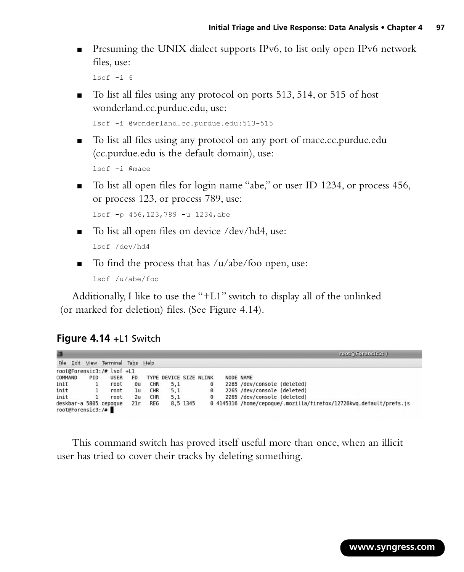Presuming the UNIX dialect supports IPv6, to list only open IPv6 network files, use: ■

lsof -i 6

■ To list all files using any protocol on ports 513, 514, or 515 of host wonderland.cc.purdue.edu, use:

```
lsof -i @wonderland.cc.purdue.edu:513-515
```
■ To list all files using any protocol on any port of mace.cc.purdue.edu (cc.purdue.edu is the default domain), use:

lsof -i @mace

■ To list all open files for login name "abe," or user ID 1234, or process 456, or process 123, or process 789, use:

lsof -p 456,123,789 -u 1234,abe

- To list all open files on device /dev/hd4, use: lsof /dev/hd4
- To find the process that has /u/abe/foo open, use: lsof /u/abe/foo ■

Additionally, I like to use the "+L1" switch to display all of the unlinked (or marked for deletion) files. (See Figure 4.14).

#### **Figure 4.14** +L1 Switch

| 匾                                           |     |      |           |            |                        |          |          | root@Forensic3: /                                                  |
|---------------------------------------------|-----|------|-----------|------------|------------------------|----------|----------|--------------------------------------------------------------------|
| File Edit View Terminal Tabs Help           |     |      |           |            |                        |          |          |                                                                    |
| root@Forensic3:/# lsof +L1                  |     |      |           |            |                        |          |          |                                                                    |
| COMMAND                                     | PID | USER | <b>FD</b> |            | TYPE DEVICE SIZE NLINK |          |          | NODE NAME                                                          |
| init                                        |     | root | Θu        | <b>CHR</b> | 5.1                    |          | 0        | 2265 /dev/console (deleted)                                        |
| init                                        |     | root | 1u        | <b>CHR</b> | 5.1                    |          | $\theta$ | 2265 /dev/console (deleted)                                        |
| init                                        |     | root | 2u        | <b>CHR</b> | 5,1                    |          | $\theta$ | 2265 /dev/console (deleted)                                        |
| deskbar-a 5805 cepoque<br>root@Forensic3:/# |     |      | 21r       | REG        |                        | 8.5 1345 |          | 0 4145316 /home/cepoque/.mozilla/firefox/12726kwq.default/prefs.js |

This command switch has proved itself useful more than once, when an illicit user has tried to cover their tracks by deleting something.